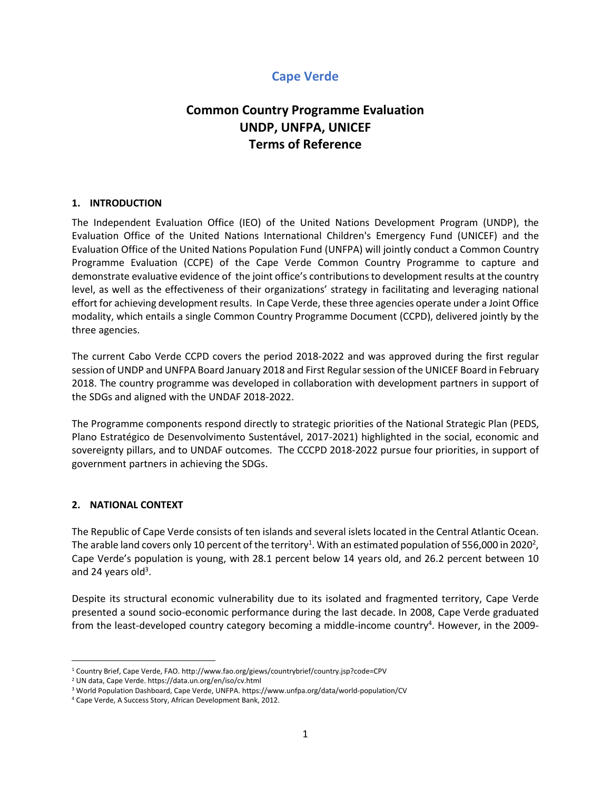# **Cape Verde**

# **Common Country Programme Evaluation UNDP, UNFPA, UNICEF Terms of Reference**

## **1. INTRODUCTION**

The Independent Evaluation Office (IEO) of the United Nations Development Program (UNDP), the Evaluation Office of the United Nations International Children's Emergency Fund (UNICEF) and the Evaluation Office of the United Nations Population Fund (UNFPA) will jointly conduct a Common Country Programme Evaluation (CCPE) of the Cape Verde Common Country Programme to capture and demonstrate evaluative evidence of the joint office's contributions to development results at the country level, as well as the effectiveness of their organizations' strategy in facilitating and leveraging national effort for achieving development results. In Cape Verde, these three agencies operate under a Joint Office modality, which entails a single Common Country Programme Document (CCPD), delivered jointly by the three agencies.

The current Cabo Verde CCPD covers the period 2018-2022 and was approved during the first regular session of UNDP and UNFPA Board January 2018 and First Regularsession of the UNICEF Board in February 2018. The country programme was developed in collaboration with development partners in support of the SDGs and aligned with the UNDAF 2018-2022.

The Programme components respond directly to strategic priorities of the National Strategic Plan (PEDS, Plano Estratégico de Desenvolvimento Sustentável, 2017-2021) highlighted in the social, economic and sovereignty pillars, and to UNDAF outcomes. The CCCPD 2018-2022 pursue four priorities, in support of government partners in achieving the SDGs.

## **2. NATIONAL CONTEXT**

The Republic of Cape Verde consists of ten islands and several islets located in the Central Atlantic Ocean. The arable land covers only 10 percent of the territory $^1$ . With an estimated population of 556,000 in 2020 $^2$ , Cape Verde's population is young, with 28.1 percent below 14 years old, and 26.2 percent between 10 and 24 years old<sup>3</sup>.

Despite its structural economic vulnerability due to its isolated and fragmented territory, Cape Verde presented a sound socio-economic performance during the last decade. In 2008, Cape Verde graduated from the least-developed country category becoming a middle-income country<sup>4</sup>. However, in the 2009-

<sup>1</sup> Country Brief, Cape Verde, FAO. http://www.fao.org/giews/countrybrief/country.jsp?code=CPV

<sup>2</sup> UN data, Cape Verde. https://data.un.org/en/iso/cv.html

<sup>3</sup> World Population Dashboard, Cape Verde, UNFPA. https://www.unfpa.org/data/world-population/CV

<sup>4</sup> Cape Verde, A Success Story, African Development Bank, 2012.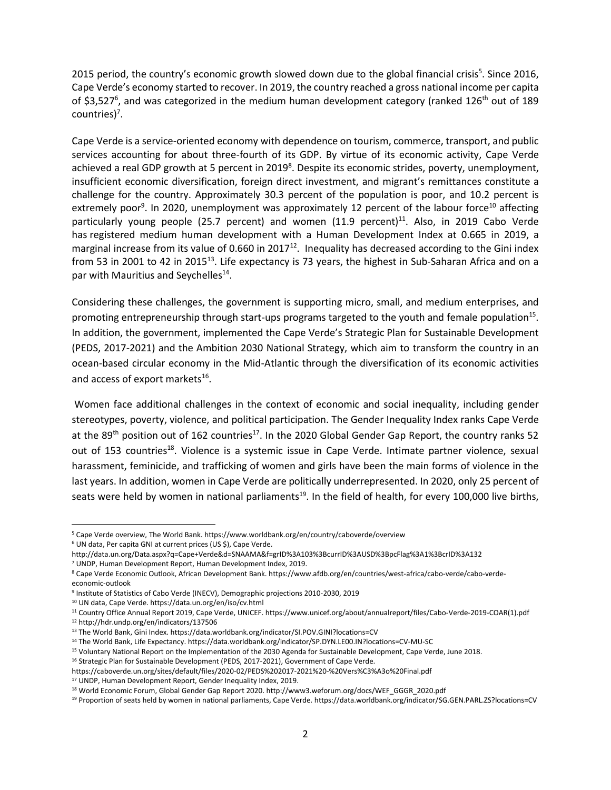2015 period, the country's economic growth slowed down due to the global financial crisis<sup>5</sup>. Since 2016, Cape Verde's economy started to recover. In 2019, the country reached a gross national income per capita of \$3,527<sup>6</sup>, and was categorized in the medium human development category (ranked 126<sup>th</sup> out of 189 countries)<sup>7</sup>.

Cape Verde is a service-oriented economy with dependence on tourism, commerce, transport, and public services accounting for about three-fourth of its GDP. By virtue of its economic activity, Cape Verde achieved a real GDP growth at 5 percent in 2019<sup>8</sup>. Despite its economic strides, poverty, unemployment, insufficient economic diversification, foreign direct investment, and migrant's remittances constitute a challenge for the country. Approximately 30.3 percent of the population is poor, and 10.2 percent is extremely poor<sup>9</sup>. In 2020, unemployment was approximately 12 percent of the labour force<sup>10</sup> affecting particularly young people (25.7 percent) and women (11.9 percent)<sup>11</sup>. Also, in 2019 Cabo Verde has registered medium human development with a Human Development Index at 0.665 in 2019, a marginal increase from its value of 0.660 in 2017 $^{12}$ . Inequality has decreased according to the Gini index from 53 in 2001 to 42 in 2015<sup>13</sup>. Life expectancy is 73 years, the highest in Sub-Saharan Africa and on a par with Mauritius and Seychelles<sup>14</sup>.

Considering these challenges, the government is supporting micro, small, and medium enterprises, and promoting entrepreneurship through start-ups programs targeted to the youth and female population<sup>15</sup>. In addition, the government, implemented the Cape Verde's Strategic Plan for Sustainable Development (PEDS, 2017-2021) and the Ambition 2030 National Strategy, which aim to transform the country in an ocean-based circular economy in the Mid-Atlantic through the diversification of its economic activities and access of export markets<sup>16</sup>.

Women face additional challenges in the context of economic and social inequality, including gender stereotypes, poverty, violence, and political participation. The Gender Inequality Index ranks Cape Verde at the 89<sup>th</sup> position out of 162 countries<sup>17</sup>. In the 2020 Global Gender Gap Report, the country ranks 52 out of 153 countries<sup>18</sup>. Violence is a systemic issue in Cape Verde. Intimate partner violence, sexual harassment, feminicide, and trafficking of women and girls have been the main forms of violence in the last years. In addition, women in Cape Verde are politically underrepresented. In 2020, only 25 percent of seats were held by women in national parliaments<sup>19</sup>. In the field of health, for every 100,000 live births,

<sup>5</sup> Cape Verde overview, The World Bank. https://www.worldbank.org/en/country/caboverde/overview

<sup>6</sup> UN data, Per capita GNI at current prices (US \$), Cape Verde.

http://data.un.org/Data.aspx?q=Cape+Verde&d=SNAAMA&f=grID%3A103%3BcurrID%3AUSD%3BpcFlag%3A1%3BcrID%3A132

<sup>7</sup> UNDP, Human Development Report, Human Development Index, 2019.

<sup>8</sup> Cape Verde Economic Outlook, African Development Bank. https://www.afdb.org/en/countries/west-africa/cabo-verde/cabo-verdeeconomic-outlook

<sup>9</sup> Institute of Statistics of Cabo Verde (INECV), Demographic projections 2010-2030, 2019

<sup>10</sup> UN data, Cape Verde. https://data.un.org/en/iso/cv.html

<sup>11</sup> Country Office Annual Report 2019, Cape Verde, UNICEF. https://www.unicef.org/about/annualreport/files/Cabo-Verde-2019-COAR(1).pdf <sup>12</sup> http://hdr.undp.org/en/indicators/137506

<sup>13</sup> The World Bank, Gini Index. https://data.worldbank.org/indicator/SI.POV.GINI?locations=CV

<sup>14</sup> The World Bank, Life Expectancy. https://data.worldbank.org/indicator/SP.DYN.LE00.IN?locations=CV-MU-SC

<sup>15</sup> Voluntary National Report on the Implementation of the 2030 Agenda for Sustainable Development, Cape Verde, June 2018.

<sup>&</sup>lt;sup>16</sup> Strategic Plan for Sustainable Development (PEDS, 2017-2021), Government of Cape Verde.

https://caboverde.un.org/sites/default/files/2020-02/PEDS%202017-2021%20-%20Vers%C3%A3o%20Final.pdf

<sup>17</sup> UNDP, Human Development Report, Gender Inequality Index, 2019.

<sup>18</sup> World Economic Forum, Global Gender Gap Report 2020. http://www3.weforum.org/docs/WEF\_GGGR\_2020.pdf

<sup>19</sup> Proportion of seats held by women in national parliaments, Cape Verde. https://data.worldbank.org/indicator/SG.GEN.PARL.ZS?locations=CV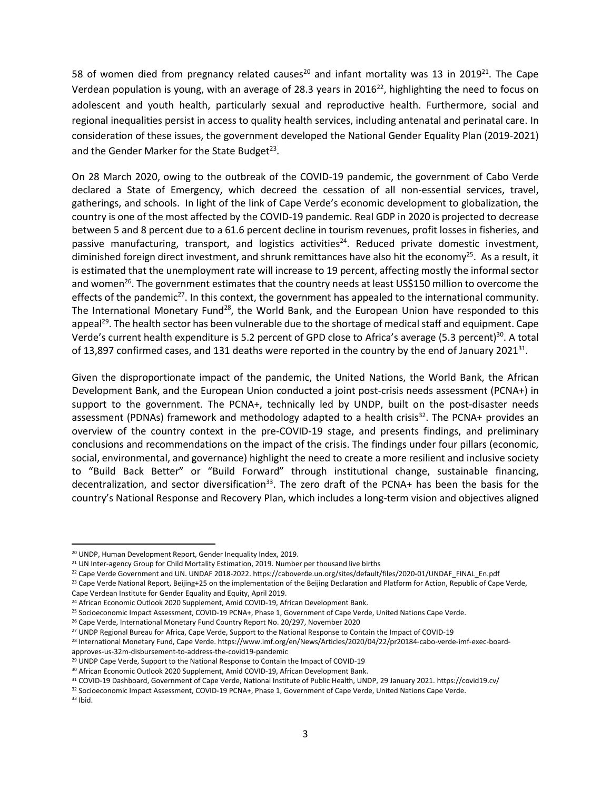58 of women died from pregnancy related causes<sup>20</sup> and infant mortality was 13 in 2019<sup>21</sup>. The Cape Verdean population is young, with an average of 28.3 years in 2016 $^{22}$ , highlighting the need to focus on adolescent and youth health, particularly sexual and reproductive health. Furthermore, social and regional inequalities persist in access to quality health services, including antenatal and perinatal care. In consideration of these issues, the government developed the National Gender Equality Plan (2019-2021) and the Gender Marker for the State Budget<sup>23</sup>.

On 28 March 2020, owing to the outbreak of the COVID-19 pandemic, the government of Cabo Verde declared a State of Emergency, which decreed the cessation of all non-essential services, travel, gatherings, and schools. In light of the link of Cape Verde's economic development to globalization, the country is one of the most affected by the COVID-19 pandemic. Real GDP in 2020 is projected to decrease between 5 and 8 percent due to a 61.6 percent decline in tourism revenues, profit losses in fisheries, and passive manufacturing, transport, and logistics activities<sup>24</sup>. Reduced private domestic investment, diminished foreign direct investment, and shrunk remittances have also hit the economy<sup>25</sup>. As a result, it is estimated that the unemployment rate will increase to 19 percent, affecting mostly the informal sector and women<sup>26</sup>. The government estimates that the country needs at least US\$150 million to overcome the effects of the pandemic<sup>27</sup>. In this context, the government has appealed to the international community. The International Monetary Fund<sup>28</sup>, the World Bank, and the European Union have responded to this appeal<sup>29</sup>. The health sector has been vulnerable due to the shortage of medical staff and equipment. Cape Verde's current health expenditure is 5.2 percent of GPD close to Africa's average (5.3 percent)<sup>30</sup>. A total of 13,897 confirmed cases, and 131 deaths were reported in the country by the end of January 2021<sup>31</sup>.

Given the disproportionate impact of the pandemic, the United Nations, the World Bank, the African Development Bank, and the European Union conducted a joint post-crisis needs assessment (PCNA+) in support to the government. The PCNA+, technically led by UNDP, built on the post-disaster needs assessment (PDNAs) framework and methodology adapted to a health crisis<sup>32</sup>. The PCNA+ provides an overview of the country context in the pre-COVID-19 stage, and presents findings, and preliminary conclusions and recommendations on the impact of the crisis. The findings under four pillars (economic, social, environmental, and governance) highlight the need to create a more resilient and inclusive society to "Build Back Better" or "Build Forward" through institutional change, sustainable financing, decentralization, and sector diversification<sup>33</sup>. The zero draft of the PCNA+ has been the basis for the country's National Response and Recovery Plan, which includes a long-term vision and objectives aligned

<sup>20</sup> UNDP, Human Development Report, Gender Inequality Index, 2019.

<sup>&</sup>lt;sup>21</sup> UN Inter-agency Group for Child Mortality Estimation, 2019. Number per thousand live births

<sup>&</sup>lt;sup>22</sup> Cape Verde Government and UN. UNDAF 2018-2022. https://caboverde.un.org/sites/default/files/2020-01/UNDAF\_FINAL\_En.pdf

<sup>&</sup>lt;sup>23</sup> Cape Verde National Report, Beijing+25 on the implementation of the Beijing Declaration and Platform for Action, Republic of Cape Verde, Cape Verdean Institute for Gender Equality and Equity, April 2019.

<sup>&</sup>lt;sup>24</sup> African Economic Outlook 2020 Supplement, Amid COVID-19, African Development Bank.

<sup>&</sup>lt;sup>25</sup> Socioeconomic Impact Assessment, COVID-19 PCNA+, Phase 1, Government of Cape Verde, United Nations Cape Verde.

<sup>26</sup> Cape Verde, International Monetary Fund Country Report No. 20/297, November 2020

<sup>&</sup>lt;sup>27</sup> UNDP Regional Bureau for Africa, Cape Verde, Support to the National Response to Contain the Impact of COVID-19

<sup>28</sup> International Monetary Fund, Cape Verde. https://www.imf.org/en/News/Articles/2020/04/22/pr20184-cabo-verde-imf-exec-boardapproves-us-32m-disbursement-to-address-the-covid19-pandemic

<sup>&</sup>lt;sup>29</sup> UNDP Cape Verde, Support to the National Response to Contain the Impact of COVID-19

<sup>30</sup> African Economic Outlook 2020 Supplement, Amid COVID-19, African Development Bank.

<sup>31</sup> COVID-19 Dashboard, Government of Cape Verde, National Institute of Public Health, UNDP, 29 January 2021. https://covid19.cv/

<sup>32</sup> Socioeconomic Impact Assessment, COVID-19 PCNA+, Phase 1, Government of Cape Verde, United Nations Cape Verde.

<sup>33</sup> Ibid.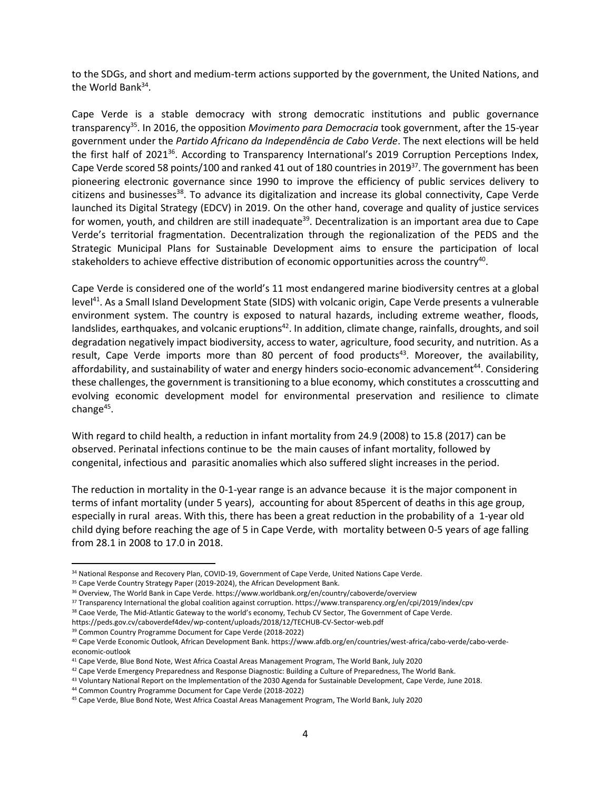to the SDGs, and short and medium-term actions supported by the government, the United Nations, and the World Bank<sup>34</sup>.

Cape Verde is a stable democracy with strong democratic institutions and public governance transparency<sup>35</sup>. In 2016, the opposition *Movimento para Democracia* took government, after the 15-year government under the *Partido Africano da Independência de Cabo Verde*. The next elections will be held the first half of 2021<sup>36</sup>. According to Transparency International's 2019 Corruption Perceptions Index, Cape Verde scored 58 points/100 and ranked 41 out of 180 countries in 2019<sup>37</sup>. The government has been pioneering electronic governance since 1990 to improve the efficiency of public services delivery to citizens and businesses<sup>38</sup>. To advance its digitalization and increase its global connectivity, Cape Verde launched its Digital Strategy (EDCV) in 2019. On the other hand, coverage and quality of justice services for women, youth, and children are still inadequate<sup>39</sup>. Decentralization is an important area due to Cape Verde's territorial fragmentation. Decentralization through the regionalization of the PEDS and the Strategic Municipal Plans for Sustainable Development aims to ensure the participation of local stakeholders to achieve effective distribution of economic opportunities across the country<sup>40</sup>.

Cape Verde is considered one of the world's 11 most endangered marine biodiversity centres at a global level<sup>41</sup>. As a Small Island Development State (SIDS) with volcanic origin, Cape Verde presents a vulnerable environment system. The country is exposed to natural hazards, including extreme weather, floods, landslides, earthquakes, and volcanic eruptions<sup>42</sup>. In addition, climate change, rainfalls, droughts, and soil degradation negatively impact biodiversity, access to water, agriculture, food security, and nutrition. As a result, Cape Verde imports more than 80 percent of food products<sup>43</sup>. Moreover, the availability, affordability, and sustainability of water and energy hinders socio-economic advancement<sup>44</sup>. Considering these challenges, the government is transitioning to a blue economy, which constitutes a crosscutting and evolving economic development model for environmental preservation and resilience to climate change<sup>45</sup>.

With regard to child health, a reduction in infant mortality from 24.9 (2008) to 15.8 (2017) can be observed. Perinatal infections continue to be the main causes of infant mortality, followed by congenital, infectious and parasitic anomalies which also suffered slight increases in the period.

The reduction in mortality in the 0-1-year range is an advance because it is the major component in terms of infant mortality (under 5 years), accounting for about 85percent of deaths in this age group, especially in rural areas. With this, there has been a great reduction in the probability of a 1-year old child dying before reaching the age of 5 in Cape Verde, with mortality between 0-5 years of age falling from 28.1 in 2008 to 17.0 in 2018.

<sup>39</sup> Common Country Programme Document for Cape Verde (2018-2022)

<sup>34</sup> National Response and Recovery Plan, COVID-19, Government of Cape Verde, United Nations Cape Verde.

<sup>&</sup>lt;sup>35</sup> Cape Verde Country Strategy Paper (2019-2024), the African Development Bank.

<sup>&</sup>lt;sup>36</sup> Overview, The World Bank in Cape Verde. https://www.worldbank.org/en/country/caboverde/overview

<sup>37</sup> Transparency International the global coalition against corruption. https://www.transparency.org/en/cpi/2019/index/cpv

<sup>38</sup> Caoe Verde, The Mid-Atlantic Gateway to the world's economy, Techub CV Sector, The Government of Cape Verde.

https://peds.gov.cv/caboverdef4dev/wp-content/uploads/2018/12/TECHUB-CV-Sector-web.pdf

<sup>40</sup> Cape Verde Economic Outlook, African Development Bank. https://www.afdb.org/en/countries/west-africa/cabo-verde/cabo-verdeeconomic-outlook

<sup>41</sup> Cape Verde, Blue Bond Note, West Africa Coastal Areas Management Program, The World Bank, July 2020

<sup>42</sup> Cape Verde Emergency Preparedness and Response Diagnostic: Building a Culture of Preparedness, The World Bank.

<sup>43</sup> Voluntary National Report on the Implementation of the 2030 Agenda for Sustainable Development, Cape Verde, June 2018.

<sup>44</sup> Common Country Programme Document for Cape Verde (2018-2022)

<sup>45</sup> Cape Verde, Blue Bond Note, West Africa Coastal Areas Management Program, The World Bank, July 2020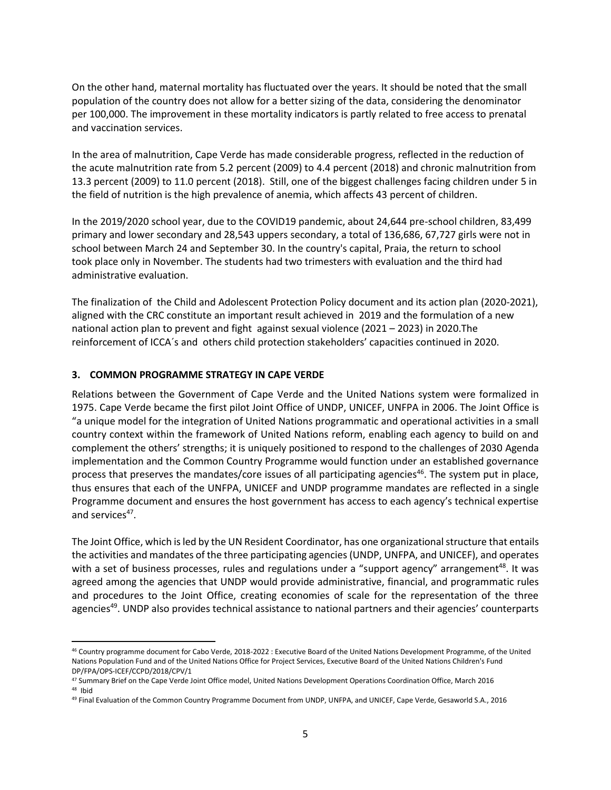On the other hand, maternal mortality has fluctuated over the years. It should be noted that the small population of the country does not allow for a better sizing of the data, considering the denominator per 100,000. The improvement in these mortality indicators is partly related to free access to prenatal and vaccination services.

In the area of malnutrition, Cape Verde has made considerable progress, reflected in the reduction of the acute malnutrition rate from 5.2 percent (2009) to 4.4 percent (2018) and chronic malnutrition from 13.3 percent (2009) to 11.0 percent (2018). Still, one of the biggest challenges facing children under 5 in the field of nutrition is the high prevalence of anemia, which affects 43 percent of children.

In the 2019/2020 school year, due to the COVID19 pandemic, about 24,644 pre-school children, 83,499 primary and lower secondary and 28,543 uppers secondary, a total of 136,686, 67,727 girls were not in school between March 24 and September 30. In the country's capital, Praia, the return to school took place only in November. The students had two trimesters with evaluation and the third had administrative evaluation.

The finalization of the Child and Adolescent Protection Policy document and its action plan (2020-2021), aligned with the CRC constitute an important result achieved in 2019 and the formulation of a new national action plan to prevent and fight against sexual violence (2021 – 2023) in 2020.The reinforcement of ICCA´s and others child protection stakeholders' capacities continued in 2020.

## **3. COMMON PROGRAMME STRATEGY IN CAPE VERDE**

Relations between the Government of Cape Verde and the United Nations system were formalized in 1975. Cape Verde became the first pilot Joint Office of UNDP, UNICEF, UNFPA in 2006. The Joint Office is "a unique model for the integration of United Nations programmatic and operational activities in a small country context within the framework of United Nations reform, enabling each agency to build on and complement the others' strengths; it is uniquely positioned to respond to the challenges of 2030 Agenda implementation and the Common Country Programme would function under an established governance process that preserves the mandates/core issues of all participating agencies<sup>46</sup>. The system put in place, thus ensures that each of the UNFPA, UNICEF and UNDP programme mandates are reflected in a single Programme document and ensures the host government has access to each agency's technical expertise and services<sup>47</sup>.

The Joint Office, which is led by the UN Resident Coordinator, has one organizational structure that entails the activities and mandates of the three participating agencies (UNDP, UNFPA, and UNICEF), and operates with a set of business processes, rules and regulations under a "support agency" arrangement<sup>48</sup>. It was agreed among the agencies that UNDP would provide administrative, financial, and programmatic rules and procedures to the Joint Office, creating economies of scale for the representation of the three agencies<sup>49</sup>. UNDP also provides technical assistance to national partners and their agencies' counterparts

<sup>46</sup> Country programme document for Cabo Verde, 2018-2022 : Executive Board of the United Nations Development Programme, of the United Nations Population Fund and of the United Nations Office for Project Services, Executive Board of the United Nations Children's Fund DP/FPA/OPS-ICEF/CCPD/2018/CPV/1

<sup>47</sup> Summary Brief on the Cape Verde Joint Office model, United Nations Development Operations Coordination Office, March 2016 <sup>48</sup> Ibid

<sup>49</sup> Final Evaluation of the Common Country Programme Document from UNDP, UNFPA, and UNICEF, Cape Verde, Gesaworld S.A., 2016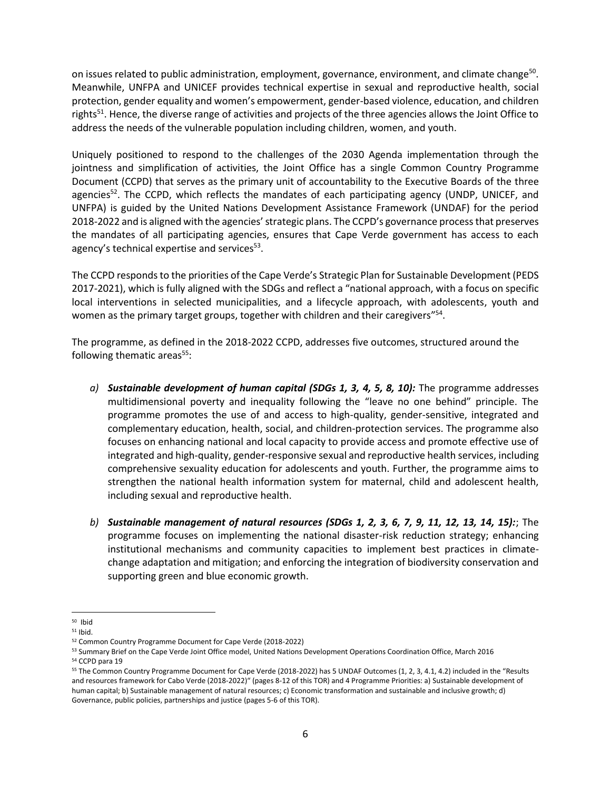on issues related to public administration, employment, governance, environment, and climate change<sup>50</sup>. Meanwhile, UNFPA and UNICEF provides technical expertise in sexual and reproductive health, social protection, gender equality and women's empowerment, gender-based violence, education, and children rights<sup>51</sup>. Hence, the diverse range of activities and projects of the three agencies allows the Joint Office to address the needs of the vulnerable population including children, women, and youth.

Uniquely positioned to respond to the challenges of the 2030 Agenda implementation through the jointness and simplification of activities, the Joint Office has a single Common Country Programme Document (CCPD) that serves as the primary unit of accountability to the Executive Boards of the three agencies<sup>52</sup>. The CCPD, which reflects the mandates of each participating agency (UNDP, UNICEF, and UNFPA) is guided by the United Nations Development Assistance Framework (UNDAF) for the period 2018-2022 and is aligned with the agencies' strategic plans. The CCPD's governance process that preserves the mandates of all participating agencies, ensures that Cape Verde government has access to each agency's technical expertise and services<sup>53</sup>.

The CCPD responds to the priorities of the Cape Verde's Strategic Plan for Sustainable Development (PEDS 2017-2021), which is fully aligned with the SDGs and reflect a "national approach, with a focus on specific local interventions in selected municipalities, and a lifecycle approach, with adolescents, youth and women as the primary target groups, together with children and their caregivers"<sup>54</sup>.

The programme, as defined in the 2018-2022 CCPD, addresses five outcomes, structured around the following thematic areas $55$ :

- *a) Sustainable development of human capital (SDGs 1, 3, 4, 5, 8, 10):* The programme addresses multidimensional poverty and inequality following the "leave no one behind" principle. The programme promotes the use of and access to high-quality, gender-sensitive, integrated and complementary education, health, social, and children-protection services. The programme also focuses on enhancing national and local capacity to provide access and promote effective use of integrated and high-quality, gender-responsive sexual and reproductive health services, including comprehensive sexuality education for adolescents and youth. Further, the programme aims to strengthen the national health information system for maternal, child and adolescent health, including sexual and reproductive health.
- *b) Sustainable management of natural resources (SDGs 1, 2, 3, 6, 7, 9, 11, 12, 13, 14, 15):*; The programme focuses on implementing the national disaster-risk reduction strategy; enhancing institutional mechanisms and community capacities to implement best practices in climatechange adaptation and mitigation; and enforcing the integration of biodiversity conservation and supporting green and blue economic growth.

<sup>50</sup> Ibid

<sup>51</sup> Ibid.

<sup>52</sup> Common Country Programme Document for Cape Verde (2018-2022)

<sup>53</sup> Summary Brief on the Cape Verde Joint Office model, United Nations Development Operations Coordination Office, March 2016 <sup>54</sup> CCPD para 19

<sup>55</sup> The Common Country Programme Document for Cape Verde (2018-2022) has 5 UNDAF Outcomes (1, 2, 3, 4.1, 4.2) included in the "Results and resources framework for Cabo Verde (2018-2022)" (pages 8-12 of this TOR) and 4 Programme Priorities: a) Sustainable development of human capital; b) Sustainable management of natural resources; c) Economic transformation and sustainable and inclusive growth; d) Governance, public policies, partnerships and justice (pages 5-6 of this TOR).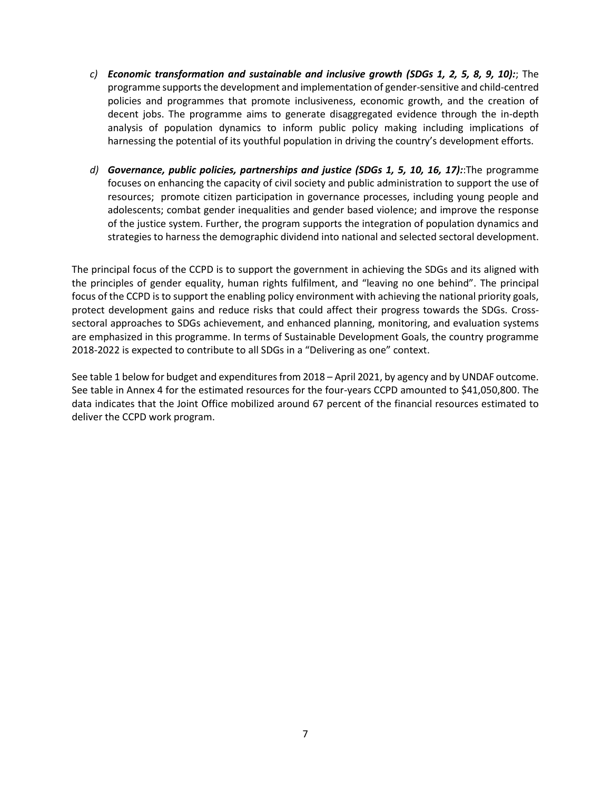- *c) Economic transformation and sustainable and inclusive growth (SDGs 1, 2, 5, 8, 9, 10):*; The programme supports the development and implementation of gender-sensitive and child-centred policies and programmes that promote inclusiveness, economic growth, and the creation of decent jobs. The programme aims to generate disaggregated evidence through the in-depth analysis of population dynamics to inform public policy making including implications of harnessing the potential of its youthful population in driving the country's development efforts.
- *d) Governance, public policies, partnerships and justice (SDGs 1, 5, 10, 16, 17):*:The programme focuses on enhancing the capacity of civil society and public administration to support the use of resources; promote citizen participation in governance processes, including young people and adolescents; combat gender inequalities and gender based violence; and improve the response of the justice system. Further, the program supports the integration of population dynamics and strategies to harness the demographic dividend into national and selected sectoral development.

The principal focus of the CCPD is to support the government in achieving the SDGs and its aligned with the principles of gender equality, human rights fulfilment, and "leaving no one behind". The principal focus of the CCPD is to support the enabling policy environment with achieving the national priority goals, protect development gains and reduce risks that could affect their progress towards the SDGs. Crosssectoral approaches to SDGs achievement, and enhanced planning, monitoring, and evaluation systems are emphasized in this programme. In terms of Sustainable Development Goals, the country programme 2018-2022 is expected to contribute to all SDGs in a "Delivering as one" context.

See table 1 below for budget and expenditures from 2018 – April 2021, by agency and by UNDAF outcome. See table in Annex 4 for the estimated resources for the four-years CCPD amounted to \$41,050,800. The data indicates that the Joint Office mobilized around 67 percent of the financial resources estimated to deliver the CCPD work program.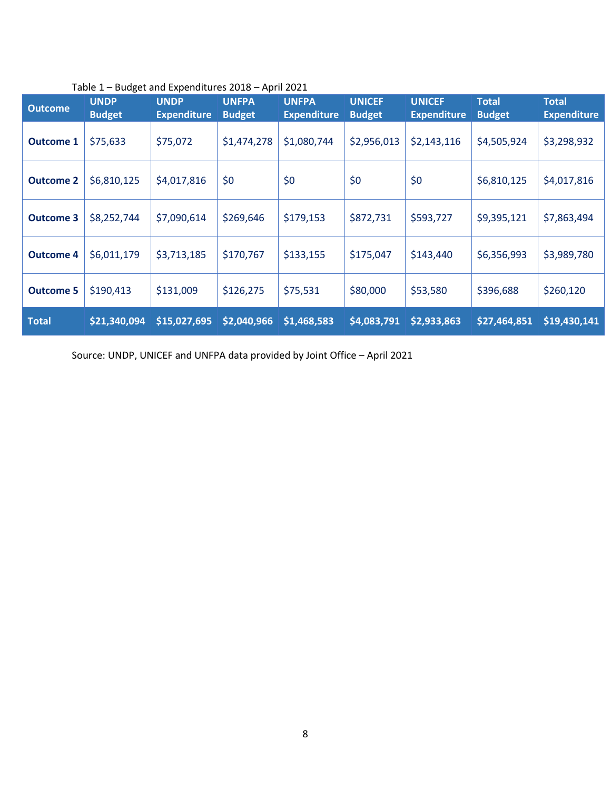| <b>Outcome</b>   | <b>UNDP</b><br><b>Budget</b> | <b>UNDP</b><br><b>Expenditure</b> | <b>UNFPA</b><br><b>Budget</b> | <b>UNFPA</b><br><b>Expenditure</b> | <b>UNICEF</b><br><b>Budget</b> | <b>UNICEF</b><br><b>Expenditure</b> | <b>Total</b><br><b>Budget</b> | <b>Total</b><br><b>Expenditure</b> |
|------------------|------------------------------|-----------------------------------|-------------------------------|------------------------------------|--------------------------------|-------------------------------------|-------------------------------|------------------------------------|
| <b>Outcome 1</b> | \$75,633                     | \$75,072                          | \$1,474,278                   | \$1,080,744                        | \$2,956,013                    | \$2,143,116                         | \$4,505,924                   | \$3,298,932                        |
| <b>Outcome 2</b> | \$6,810,125                  | \$4,017,816                       | \$0                           | \$0                                | \$0                            | \$0                                 | \$6,810,125                   | \$4,017,816                        |
| <b>Outcome 3</b> | \$8,252,744                  | \$7,090,614                       | \$269,646                     | \$179,153                          | \$872,731                      | \$593,727                           | \$9,395,121                   | \$7,863,494                        |
| <b>Outcome 4</b> | \$6,011,179                  | \$3,713,185                       | \$170,767                     | \$133,155                          | \$175,047                      | \$143,440                           | \$6,356,993                   | \$3,989,780                        |
| <b>Outcome 5</b> | \$190,413                    | \$131,009                         | \$126,275                     | \$75,531                           | \$80,000                       | \$53,580                            | \$396,688                     | \$260,120                          |
| <b>Total</b>     | \$21,340,094                 | \$15,027,695                      | \$2,040,966                   | \$1,468,583                        | \$4,083,791                    | \$2,933,863                         | \$27,464,851                  | \$19,430,141                       |

## Table 1 – Budget and Expenditures 2018 – April 2021

Source: UNDP, UNICEF and UNFPA data provided by Joint Office – April 2021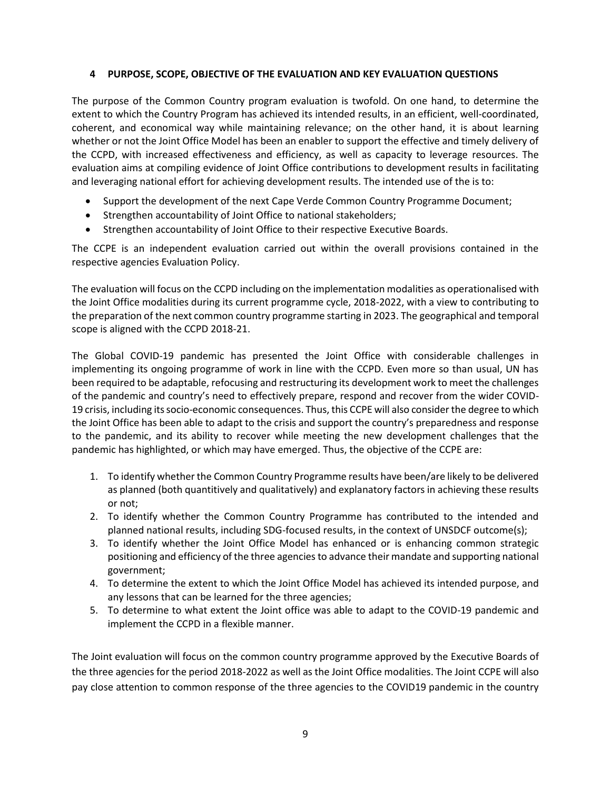## **4 PURPOSE, SCOPE, OBJECTIVE OF THE EVALUATION AND KEY EVALUATION QUESTIONS**

The purpose of the Common Country program evaluation is twofold. On one hand, to determine the extent to which the Country Program has achieved its intended results, in an efficient, well-coordinated, coherent, and economical way while maintaining relevance; on the other hand, it is about learning whether or not the Joint Office Model has been an enabler to support the effective and timely delivery of the CCPD, with increased effectiveness and efficiency, as well as capacity to leverage resources. The evaluation aims at compiling evidence of Joint Office contributions to development results in facilitating and leveraging national effort for achieving development results. The intended use of the is to:

- Support the development of the next Cape Verde Common Country Programme Document;
- Strengthen accountability of Joint Office to national stakeholders;
- Strengthen accountability of Joint Office to their respective Executive Boards.

The CCPE is an independent evaluation carried out within the overall provisions contained in the respective agencies Evaluation Policy.

The evaluation will focus on the CCPD including on the implementation modalities as operationalised with the Joint Office modalities during its current programme cycle, 2018-2022, with a view to contributing to the preparation of the next common country programme starting in 2023. The geographical and temporal scope is aligned with the CCPD 2018-21.

The Global COVID-19 pandemic has presented the Joint Office with considerable challenges in implementing its ongoing programme of work in line with the CCPD. Even more so than usual, UN has been required to be adaptable, refocusing and restructuring its development work to meet the challenges of the pandemic and country's need to effectively prepare, respond and recover from the wider COVID-19 crisis, including its socio-economic consequences. Thus, this CCPE will also consider the degree to which the Joint Office has been able to adapt to the crisis and support the country's preparedness and response to the pandemic, and its ability to recover while meeting the new development challenges that the pandemic has highlighted, or which may have emerged. Thus, the objective of the CCPE are:

- 1. To identify whether the Common Country Programme results have been/are likely to be delivered as planned (both quantitively and qualitatively) and explanatory factors in achieving these results or not;
- 2. To identify whether the Common Country Programme has contributed to the intended and planned national results, including SDG-focused results, in the context of UNSDCF outcome(s);
- 3. To identify whether the Joint Office Model has enhanced or is enhancing common strategic positioning and efficiency of the three agencies to advance their mandate and supporting national government;
- 4. To determine the extent to which the Joint Office Model has achieved its intended purpose, and any lessons that can be learned for the three agencies;
- 5. To determine to what extent the Joint office was able to adapt to the COVID-19 pandemic and implement the CCPD in a flexible manner.

The Joint evaluation will focus on the common country programme approved by the Executive Boards of the three agencies for the period 2018-2022 as well as the Joint Office modalities. The Joint CCPE will also pay close attention to common response of the three agencies to the COVID19 pandemic in the country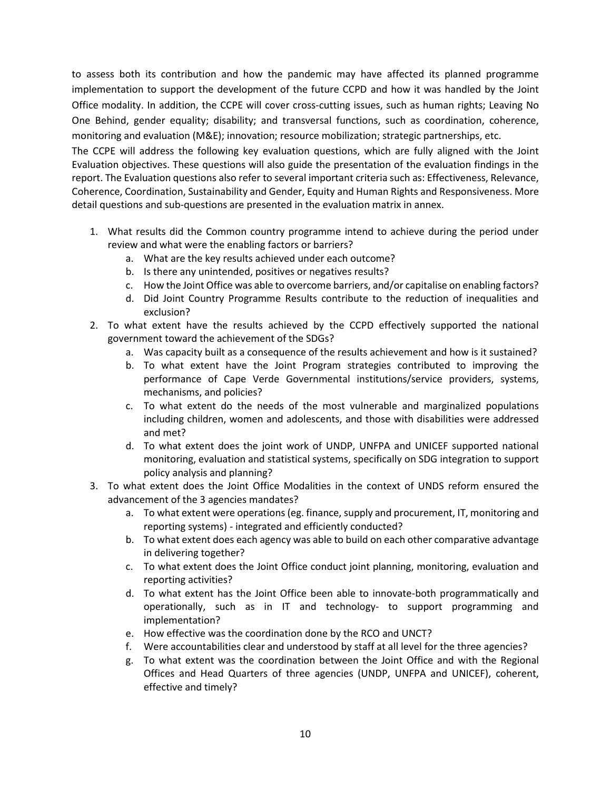to assess both its contribution and how the pandemic may have affected its planned programme implementation to support the development of the future CCPD and how it was handled by the Joint Office modality. In addition, the CCPE will cover cross-cutting issues, such as human rights; Leaving No One Behind, gender equality; disability; and transversal functions, such as coordination, coherence, monitoring and evaluation (M&E); innovation; resource mobilization; strategic partnerships, etc.

The CCPE will address the following key evaluation questions, which are fully aligned with the Joint Evaluation objectives. These questions will also guide the presentation of the evaluation findings in the report. The Evaluation questions also refer to several important criteria such as: Effectiveness, Relevance, Coherence, Coordination, Sustainability and Gender, Equity and Human Rights and Responsiveness. More detail questions and sub-questions are presented in the evaluation matrix in annex.

- 1. What results did the Common country programme intend to achieve during the period under review and what were the enabling factors or barriers?
	- a. What are the key results achieved under each outcome?
	- b. Is there any unintended, positives or negatives results?
	- c. How the Joint Office was able to overcome barriers, and/or capitalise on enabling factors?
	- d. Did Joint Country Programme Results contribute to the reduction of inequalities and exclusion?
- 2. To what extent have the results achieved by the CCPD effectively supported the national government toward the achievement of the SDGs?
	- a. Was capacity built as a consequence of the results achievement and how is it sustained?
	- b. To what extent have the Joint Program strategies contributed to improving the performance of Cape Verde Governmental institutions/service providers, systems, mechanisms, and policies?
	- c. To what extent do the needs of the most vulnerable and marginalized populations including children, women and adolescents, and those with disabilities were addressed and met?
	- d. To what extent does the joint work of UNDP, UNFPA and UNICEF supported national monitoring, evaluation and statistical systems, specifically on SDG integration to support policy analysis and planning?
- 3. To what extent does the Joint Office Modalities in the context of UNDS reform ensured the advancement of the 3 agencies mandates?
	- a. To what extent were operations (eg. finance, supply and procurement, IT, monitoring and reporting systems) - integrated and efficiently conducted?
	- b. To what extent does each agency was able to build on each other comparative advantage in delivering together?
	- c. To what extent does the Joint Office conduct joint planning, monitoring, evaluation and reporting activities?
	- d. To what extent has the Joint Office been able to innovate-both programmatically and operationally, such as in IT and technology- to support programming and implementation?
	- e. How effective was the coordination done by the RCO and UNCT?
	- f. Were accountabilities clear and understood by staff at all level for the three agencies?
	- g. To what extent was the coordination between the Joint Office and with the Regional Offices and Head Quarters of three agencies (UNDP, UNFPA and UNICEF), coherent, effective and timely?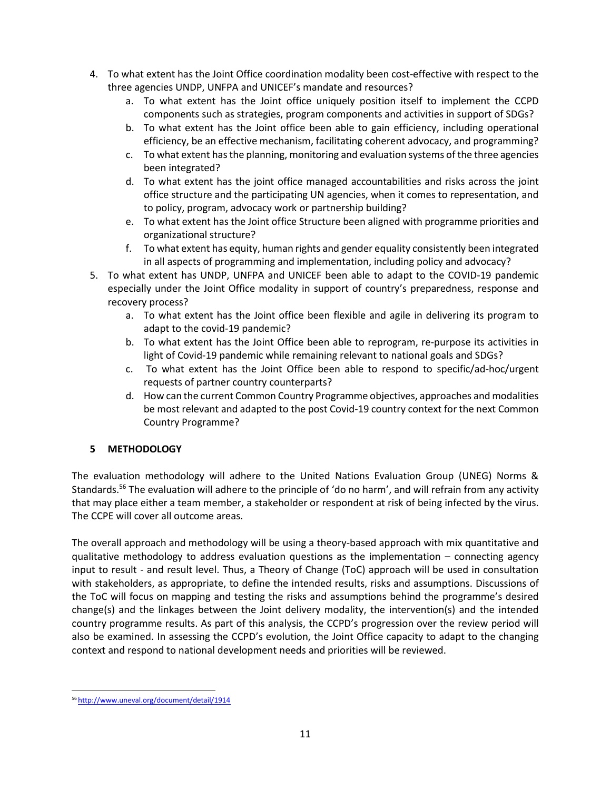- 4. To what extent has the Joint Office coordination modality been cost-effective with respect to the three agencies UNDP, UNFPA and UNICEF's mandate and resources?
	- a. To what extent has the Joint office uniquely position itself to implement the CCPD components such as strategies, program components and activities in support of SDGs?
	- b. To what extent has the Joint office been able to gain efficiency, including operational efficiency, be an effective mechanism, facilitating coherent advocacy, and programming?
	- c. To what extent has the planning, monitoring and evaluation systems of the three agencies been integrated?
	- d. To what extent has the joint office managed accountabilities and risks across the joint office structure and the participating UN agencies, when it comes to representation, and to policy, program, advocacy work or partnership building?
	- e. To what extent has the Joint office Structure been aligned with programme priorities and organizational structure?
	- f. To what extent has equity, human rights and gender equality consistently been integrated in all aspects of programming and implementation, including policy and advocacy?
- 5. To what extent has UNDP, UNFPA and UNICEF been able to adapt to the COVID-19 pandemic especially under the Joint Office modality in support of country's preparedness, response and recovery process?
	- a. To what extent has the Joint office been flexible and agile in delivering its program to adapt to the covid-19 pandemic?
	- b. To what extent has the Joint Office been able to reprogram, re-purpose its activities in light of Covid-19 pandemic while remaining relevant to national goals and SDGs?
	- c. To what extent has the Joint Office been able to respond to specific/ad-hoc/urgent requests of partner country counterparts?
	- d. How can the current Common Country Programme objectives, approaches and modalities be most relevant and adapted to the post Covid-19 country context for the next Common Country Programme?

## **5 METHODOLOGY**

The evaluation methodology will adhere to the United Nations Evaluation Group (UNEG) Norms & Standards.<sup>56</sup> The evaluation will adhere to the principle of 'do no harm', and will refrain from any activity that may place either a team member, a stakeholder or respondent at risk of being infected by the virus. The CCPE will cover all outcome areas.

The overall approach and methodology will be using a theory-based approach with mix quantitative and qualitative methodology to address evaluation questions as the implementation – connecting agency input to result - and result level. Thus, a Theory of Change (ToC) approach will be used in consultation with stakeholders, as appropriate, to define the intended results, risks and assumptions. Discussions of the ToC will focus on mapping and testing the risks and assumptions behind the programme's desired change(s) and the linkages between the Joint delivery modality, the intervention(s) and the intended country programme results. As part of this analysis, the CCPD's progression over the review period will also be examined. In assessing the CCPD's evolution, the Joint Office capacity to adapt to the changing context and respond to national development needs and priorities will be reviewed.

<sup>56</sup> <http://www.uneval.org/document/detail/1914>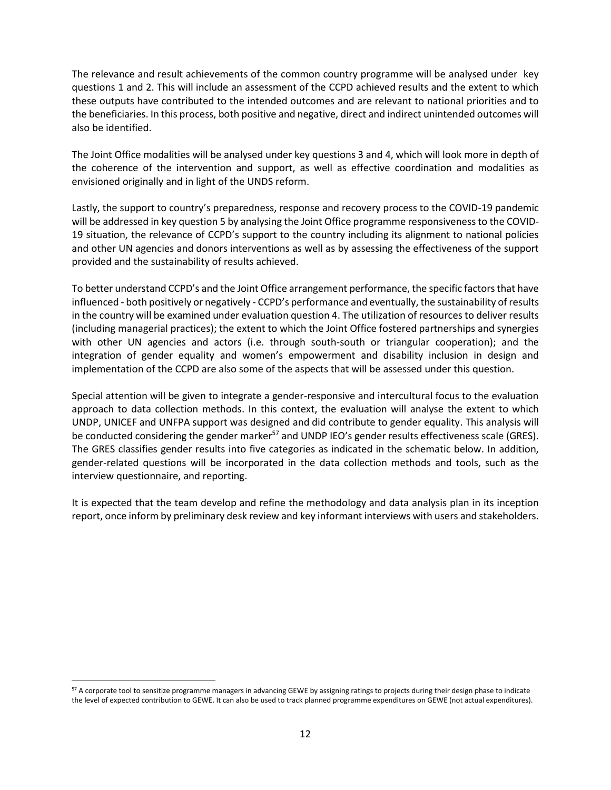The relevance and result achievements of the common country programme will be analysed under key questions 1 and 2. This will include an assessment of the CCPD achieved results and the extent to which these outputs have contributed to the intended outcomes and are relevant to national priorities and to the beneficiaries. In this process, both positive and negative, direct and indirect unintended outcomes will also be identified.

The Joint Office modalities will be analysed under key questions 3 and 4, which will look more in depth of the coherence of the intervention and support, as well as effective coordination and modalities as envisioned originally and in light of the UNDS reform.

Lastly, the support to country's preparedness, response and recovery process to the COVID-19 pandemic will be addressed in key question 5 by analysing the Joint Office programme responsiveness to the COVID-19 situation, the relevance of CCPD's support to the country including its alignment to national policies and other UN agencies and donors interventions as well as by assessing the effectiveness of the support provided and the sustainability of results achieved.

To better understand CCPD's and the Joint Office arrangement performance, the specific factors that have influenced - both positively or negatively - CCPD's performance and eventually, the sustainability of results in the country will be examined under evaluation question 4. The utilization of resources to deliver results (including managerial practices); the extent to which the Joint Office fostered partnerships and synergies with other UN agencies and actors (i.e. through south-south or triangular cooperation); and the integration of gender equality and women's empowerment and disability inclusion in design and implementation of the CCPD are also some of the aspects that will be assessed under this question.

Special attention will be given to integrate a gender-responsive and intercultural focus to the evaluation approach to data collection methods. In this context, the evaluation will analyse the extent to which UNDP, UNICEF and UNFPA support was designed and did contribute to gender equality. This analysis will be conducted considering the gender marker<sup>57</sup> and UNDP IEO's gender results effectiveness scale (GRES). The GRES classifies gender results into five categories as indicated in the schematic below. In addition, gender-related questions will be incorporated in the data collection methods and tools, such as the interview questionnaire, and reporting.

It is expected that the team develop and refine the methodology and data analysis plan in its inception report, once inform by preliminary desk review and key informant interviews with users and stakeholders.

 $57$  A corporate tool to sensitize programme managers in advancing GEWE by assigning ratings to projects during their design phase to indicate the level of expected contribution to GEWE. It can also be used to track planned programme expenditures on GEWE (not actual expenditures).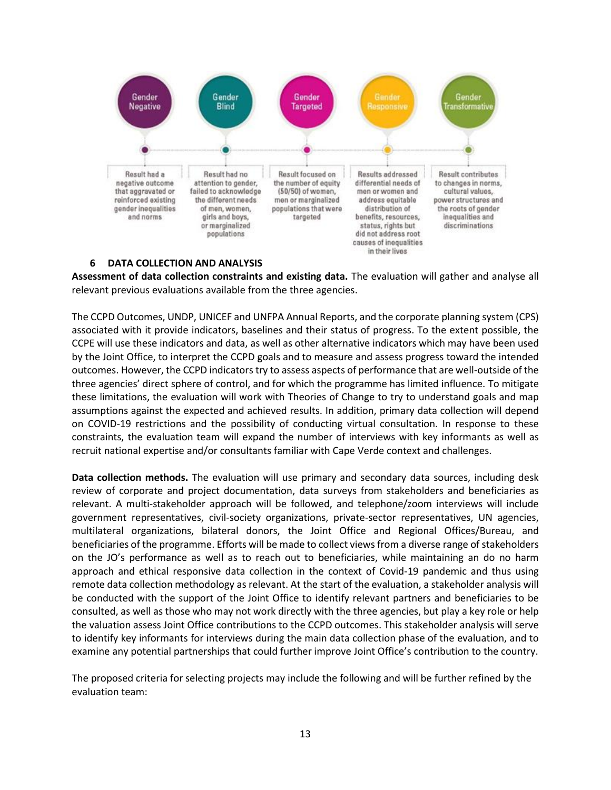

#### **6 DATA COLLECTION AND ANALYSIS**

**Assessment of data collection constraints and existing data.** The evaluation will gather and analyse all relevant previous evaluations available from the three agencies.

The CCPD Outcomes, UNDP, UNICEF and UNFPA Annual Reports, and the corporate planning system (CPS) associated with it provide indicators, baselines and their status of progress. To the extent possible, the CCPE will use these indicators and data, as well as other alternative indicators which may have been used by the Joint Office, to interpret the CCPD goals and to measure and assess progress toward the intended outcomes. However, the CCPD indicators try to assess aspects of performance that are well-outside of the three agencies' direct sphere of control, and for which the programme has limited influence. To mitigate these limitations, the evaluation will work with Theories of Change to try to understand goals and map assumptions against the expected and achieved results. In addition, primary data collection will depend on COVID-19 restrictions and the possibility of conducting virtual consultation. In response to these constraints, the evaluation team will expand the number of interviews with key informants as well as recruit national expertise and/or consultants familiar with Cape Verde context and challenges.

**Data collection methods.** The evaluation will use primary and secondary data sources, including desk review of corporate and project documentation, data surveys from stakeholders and beneficiaries as relevant. A multi-stakeholder approach will be followed, and telephone/zoom interviews will include government representatives, civil-society organizations, private-sector representatives, UN agencies, multilateral organizations, bilateral donors, the Joint Office and Regional Offices/Bureau, and beneficiaries of the programme. Efforts will be made to collect views from a diverse range of stakeholders on the JO's performance as well as to reach out to beneficiaries, while maintaining an do no harm approach and ethical responsive data collection in the context of Covid-19 pandemic and thus using remote data collection methodology as relevant. At the start of the evaluation, a stakeholder analysis will be conducted with the support of the Joint Office to identify relevant partners and beneficiaries to be consulted, as well as those who may not work directly with the three agencies, but play a key role or help the valuation assess Joint Office contributions to the CCPD outcomes. This stakeholder analysis will serve to identify key informants for interviews during the main data collection phase of the evaluation, and to examine any potential partnerships that could further improve Joint Office's contribution to the country.

The proposed criteria for selecting projects may include the following and will be further refined by the evaluation team: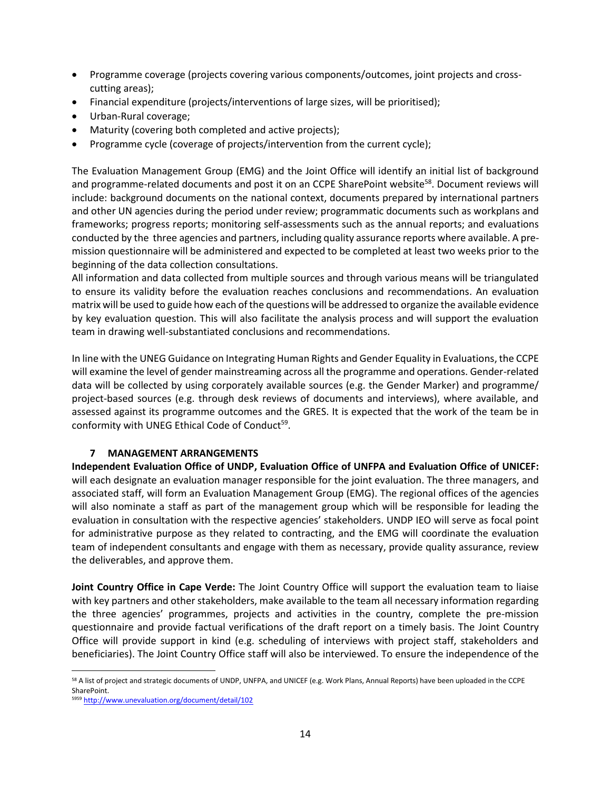- Programme coverage (projects covering various components/outcomes, joint projects and crosscutting areas);
- Financial expenditure (projects/interventions of large sizes, will be prioritised);
- Urban-Rural coverage;
- Maturity (covering both completed and active projects);
- Programme cycle (coverage of projects/intervention from the current cycle);

The Evaluation Management Group (EMG) and the Joint Office will identify an initial list of background and programme-related documents and post it on an CCPE SharePoint website<sup>58</sup>. Document reviews will include: background documents on the national context, documents prepared by international partners and other UN agencies during the period under review; programmatic documents such as workplans and frameworks; progress reports; monitoring self-assessments such as the annual reports; and evaluations conducted by the three agencies and partners, including quality assurance reports where available. A premission questionnaire will be administered and expected to be completed at least two weeks prior to the beginning of the data collection consultations.

All information and data collected from multiple sources and through various means will be triangulated to ensure its validity before the evaluation reaches conclusions and recommendations. An evaluation matrix will be used to guide how each of the questions will be addressed to organize the available evidence by key evaluation question. This will also facilitate the analysis process and will support the evaluation team in drawing well-substantiated conclusions and recommendations.

In line with the UNEG Guidance on Integrating Human Rights and Gender Equality in Evaluations, the CCPE will examine the level of gender mainstreaming across all the programme and operations. Gender-related data will be collected by using corporately available sources (e.g. the Gender Marker) and programme/ project-based sources (e.g. through desk reviews of documents and interviews), where available, and assessed against its programme outcomes and the GRES. It is expected that the work of the team be in conformity with UNEG Ethical Code of Conduct<sup>59</sup>.

## **7 MANAGEMENT ARRANGEMENTS**

**Independent Evaluation Office of UNDP, Evaluation Office of UNFPA and Evaluation Office of UNICEF:**  will each designate an evaluation manager responsible for the joint evaluation. The three managers, and associated staff, will form an Evaluation Management Group (EMG). The regional offices of the agencies will also nominate a staff as part of the management group which will be responsible for leading the evaluation in consultation with the respective agencies' stakeholders. UNDP IEO will serve as focal point for administrative purpose as they related to contracting, and the EMG will coordinate the evaluation team of independent consultants and engage with them as necessary, provide quality assurance, review the deliverables, and approve them.

**Joint Country Office in Cape Verde:** The Joint Country Office will support the evaluation team to liaise with key partners and other stakeholders, make available to the team all necessary information regarding the three agencies' programmes, projects and activities in the country, complete the pre-mission questionnaire and provide factual verifications of the draft report on a timely basis. The Joint Country Office will provide support in kind (e.g. scheduling of interviews with project staff, stakeholders and beneficiaries). The Joint Country Office staff will also be interviewed. To ensure the independence of the

<sup>58</sup> A list of project and strategic documents of UNDP, UNFPA, and UNICEF (e.g. Work Plans, Annual Reports) have been uploaded in the CCPE SharePoint.

<sup>5959</sup> <http://www.unevaluation.org/document/detail/102>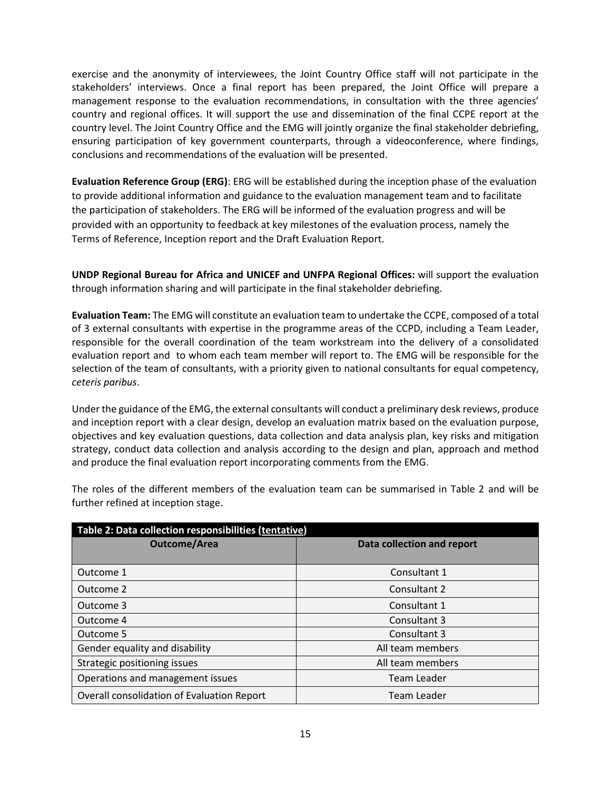exercise and the anonymity of interviewees, the Joint Country Office staff will not participate in the stakeholders' interviews. Once a final report has been prepared, the Joint Office will prepare a management response to the evaluation recommendations, in consultation with the three agencies' country and regional offices. It will support the use and dissemination of the final CCPE report at the country level. The Joint Country Office and the EMG will jointly organize the final stakeholder debriefing, ensuring participation of key government counterparts, through a videoconference, where findings, conclusions and recommendations of the evaluation will be presented.

**Evaluation Reference Group (ERG)**: ERG will be established during the inception phase of the evaluation to provide additional information and guidance to the evaluation management team and to facilitate the participation of stakeholders. The ERG will be informed of the evaluation progress and will be provided with an opportunity to feedback at key milestones of the evaluation process, namely the Terms of Reference, Inception report and the Draft Evaluation Report.

**UNDP Regional Bureau for Africa and UNICEF and UNFPA Regional Offices:** will support the evaluation through information sharing and will participate in the final stakeholder debriefing.

**Evaluation Team:** The EMG will constitute an evaluation team to undertake the CCPE, composed of a total of 3 external consultants with expertise in the programme areas of the CCPD, including a Team Leader, responsible for the overall coordination of the team workstream into the delivery of a consolidated evaluation report and to whom each team member will report to. The EMG will be responsible for the selection of the team of consultants, with a priority given to national consultants for equal competency, *ceteris paribus*.

Under the guidance of the EMG, the external consultants will conduct a preliminary desk reviews, produce and inception report with a clear design, develop an evaluation matrix based on the evaluation purpose, objectives and key evaluation questions, data collection and data analysis plan, key risks and mitigation strategy, conduct data collection and analysis according to the design and plan, approach and method and produce the final evaluation report incorporating comments from the EMG.

The roles of the different members of the evaluation team can be summarised in Table 2 and will be further refined at inception stage.

| Table 2: Data collection responsibilities (tentative) |                            |  |  |
|-------------------------------------------------------|----------------------------|--|--|
| <b>Outcome/Area</b>                                   | Data collection and report |  |  |
|                                                       |                            |  |  |
| Outcome 1                                             | Consultant 1               |  |  |
| Outcome 2                                             | Consultant 2               |  |  |
| Outcome 3                                             | Consultant 1               |  |  |
| Outcome 4                                             | Consultant 3               |  |  |
| Outcome 5                                             | Consultant 3               |  |  |
| Gender equality and disability                        | All team members           |  |  |
| Strategic positioning issues                          | All team members           |  |  |
| Operations and management issues                      | Team Leader                |  |  |
| Overall consolidation of Evaluation Report            | Team Leader                |  |  |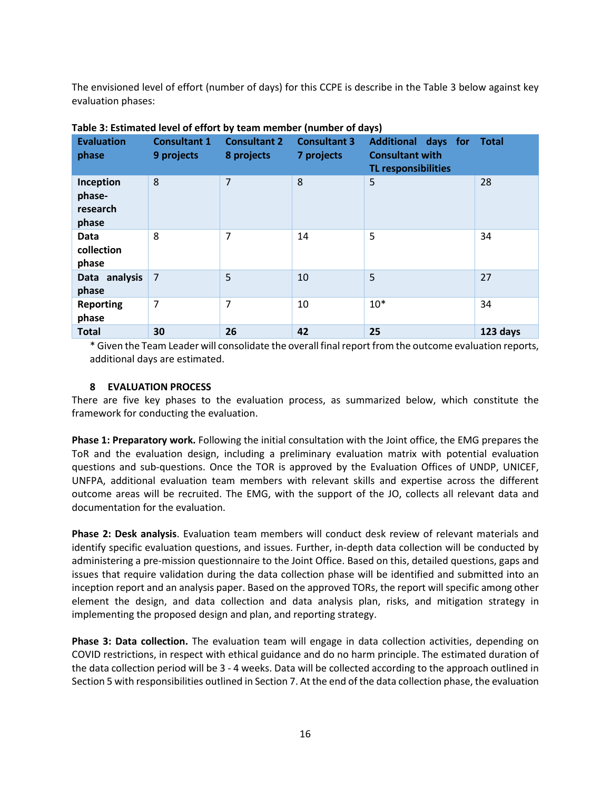The envisioned level of effort (number of days) for this CCPE is describe in the Table 3 below against key evaluation phases:

| <b>Evaluation</b><br>phase               | <b>Consultant 1</b><br>9 projects | <b>Consultant 2</b><br>8 projects | <b>Consultant 3</b><br>7 projects | Additional days for Total<br><b>Consultant with</b><br><b>TL responsibilities</b> |          |
|------------------------------------------|-----------------------------------|-----------------------------------|-----------------------------------|-----------------------------------------------------------------------------------|----------|
| Inception<br>phase-<br>research<br>phase | 8                                 | $\overline{7}$                    | 8                                 | 5                                                                                 | 28       |
| Data<br>collection<br>phase              | 8                                 | 7                                 | 14                                | 5                                                                                 | 34       |
| Data analysis<br>phase                   | $\overline{7}$                    | 5                                 | 10                                | 5                                                                                 | 27       |
| <b>Reporting</b><br>phase                | 7                                 | 7                                 | 10                                | $10*$                                                                             | 34       |
| <b>Total</b>                             | 30                                | 26                                | 42                                | 25                                                                                | 123 days |

## **Table 3: Estimated level of effort by team member (number of days)**

\* Given the Team Leader will consolidate the overall final report from the outcome evaluation reports, additional days are estimated.

#### **8 EVALUATION PROCESS**

There are five key phases to the evaluation process, as summarized below, which constitute the framework for conducting the evaluation.

**Phase 1: Preparatory work.** Following the initial consultation with the Joint office, the EMG prepares the ToR and the evaluation design, including a preliminary evaluation matrix with potential evaluation questions and sub-questions. Once the TOR is approved by the Evaluation Offices of UNDP, UNICEF, UNFPA, additional evaluation team members with relevant skills and expertise across the different outcome areas will be recruited. The EMG, with the support of the JO, collects all relevant data and documentation for the evaluation.

**Phase 2: Desk analysis**. Evaluation team members will conduct desk review of relevant materials and identify specific evaluation questions, and issues. Further, in-depth data collection will be conducted by administering a pre-mission questionnaire to the Joint Office. Based on this, detailed questions, gaps and issues that require validation during the data collection phase will be identified and submitted into an inception report and an analysis paper. Based on the approved TORs, the report will specific among other element the design, and data collection and data analysis plan, risks, and mitigation strategy in implementing the proposed design and plan, and reporting strategy.

**Phase 3: Data collection.** The evaluation team will engage in data collection activities, depending on COVID restrictions, in respect with ethical guidance and do no harm principle. The estimated duration of the data collection period will be 3 - 4 weeks. Data will be collected according to the approach outlined in Section 5 with responsibilities outlined in Section 7. At the end of the data collection phase, the evaluation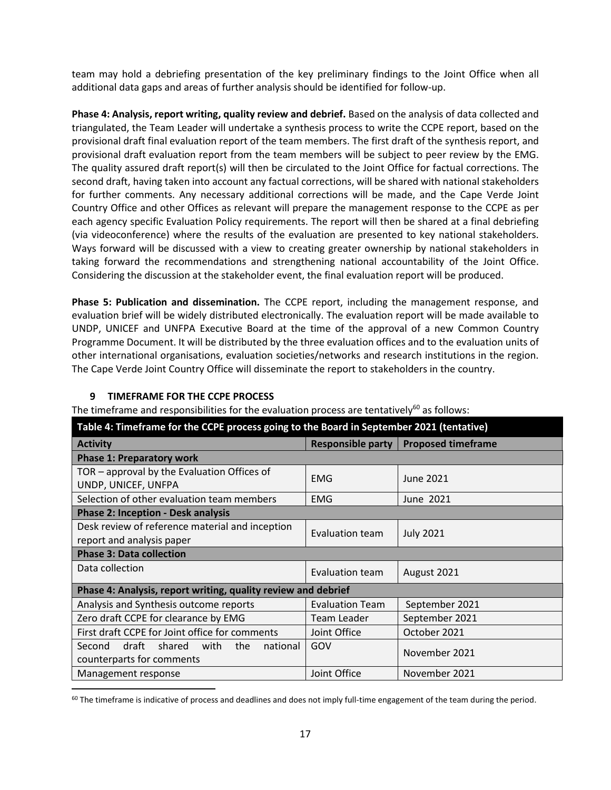team may hold a debriefing presentation of the key preliminary findings to the Joint Office when all additional data gaps and areas of further analysis should be identified for follow-up.

**Phase 4: Analysis, report writing, quality review and debrief.** Based on the analysis of data collected and triangulated, the Team Leader will undertake a synthesis process to write the CCPE report, based on the provisional draft final evaluation report of the team members. The first draft of the synthesis report, and provisional draft evaluation report from the team members will be subject to peer review by the EMG. The quality assured draft report(s) will then be circulated to the Joint Office for factual corrections. The second draft, having taken into account any factual corrections, will be shared with national stakeholders for further comments. Any necessary additional corrections will be made, and the Cape Verde Joint Country Office and other Offices as relevant will prepare the management response to the CCPE as per each agency specific Evaluation Policy requirements. The report will then be shared at a final debriefing (via videoconference) where the results of the evaluation are presented to key national stakeholders. Ways forward will be discussed with a view to creating greater ownership by national stakeholders in taking forward the recommendations and strengthening national accountability of the Joint Office. Considering the discussion at the stakeholder event, the final evaluation report will be produced.

**Phase 5: Publication and dissemination.** The CCPE report, including the management response, and evaluation brief will be widely distributed electronically. The evaluation report will be made available to UNDP, UNICEF and UNFPA Executive Board at the time of the approval of a new Common Country Programme Document. It will be distributed by the three evaluation offices and to the evaluation units of other international organisations, evaluation societies/networks and research institutions in the region. The Cape Verde Joint Country Office will disseminate the report to stakeholders in the country.

## **9 TIMEFRAME FOR THE CCPE PROCESS**

The timeframe and responsibilities for the evaluation process are tentatively $60$  as follows:

| Table 4: Timeframe for the CCPE process going to the Board in September 2021 (tentative) |                        |                                        |  |
|------------------------------------------------------------------------------------------|------------------------|----------------------------------------|--|
| <b>Activity</b>                                                                          |                        | Responsible party   Proposed timeframe |  |
| <b>Phase 1: Preparatory work</b>                                                         |                        |                                        |  |
| TOR – approval by the Evaluation Offices of<br>UNDP, UNICEF, UNFPA                       | <b>EMG</b>             | June 2021                              |  |
| Selection of other evaluation team members                                               | <b>EMG</b>             | June 2021                              |  |
| <b>Phase 2: Inception - Desk analysis</b>                                                |                        |                                        |  |
| Desk review of reference material and inception                                          | Evaluation team        | <b>July 2021</b>                       |  |
| report and analysis paper                                                                |                        |                                        |  |
| <b>Phase 3: Data collection</b>                                                          |                        |                                        |  |
| Data collection                                                                          | Evaluation team        | August 2021                            |  |
| Phase 4: Analysis, report writing, quality review and debrief                            |                        |                                        |  |
| Analysis and Synthesis outcome reports                                                   | <b>Evaluation Team</b> | September 2021                         |  |
| Zero draft CCPE for clearance by EMG                                                     | Team Leader            | September 2021                         |  |
| First draft CCPE for Joint office for comments                                           | Joint Office           | October 2021                           |  |
| Second draft shared<br>with<br>the<br>national<br>counterparts for comments              | GOV                    | November 2021                          |  |
| Management response                                                                      | Joint Office           | November 2021                          |  |

 $60$  The timeframe is indicative of process and deadlines and does not imply full-time engagement of the team during the period.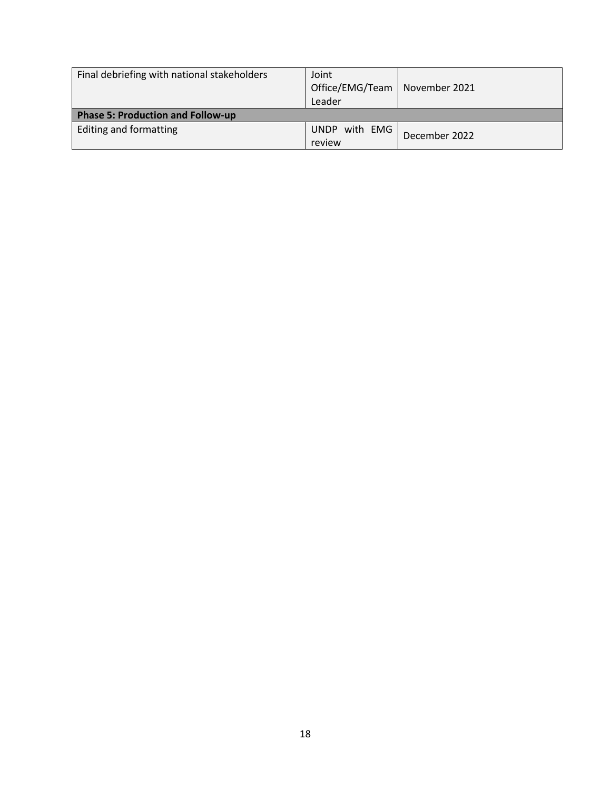| Final debriefing with national stakeholders | Joint<br>Office/EMG/Team<br>Leader | November 2021 |
|---------------------------------------------|------------------------------------|---------------|
| <b>Phase 5: Production and Follow-up</b>    |                                    |               |
| Editing and formatting                      | UNDP with EMG                      | December 2022 |
|                                             | review                             |               |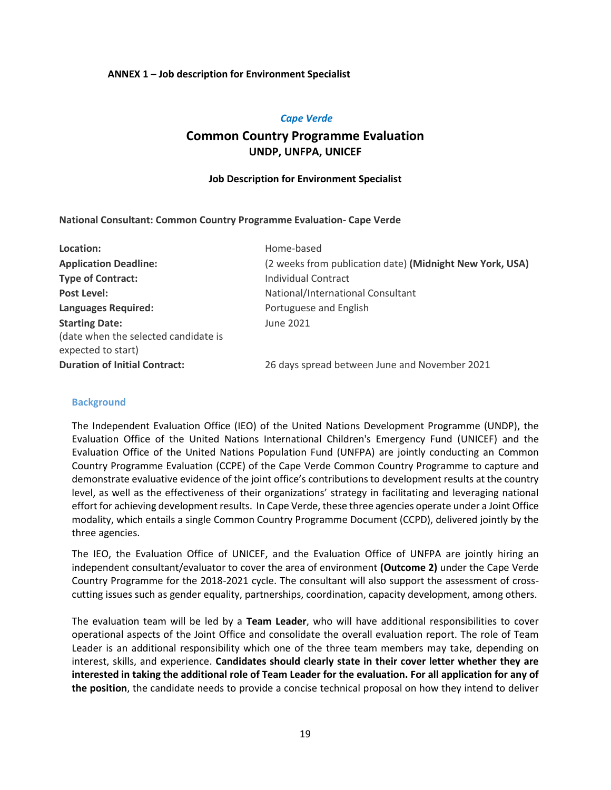#### **ANNEX 1 – Job description for Environment Specialist**

#### *Cape Verde*

# **Common Country Programme Evaluation UNDP, UNFPA, UNICEF**

#### **Job Description for Environment Specialist**

#### **National Consultant: Common Country Programme Evaluation- Cape Verde**

| Location:                                                  | Home-based                                               |
|------------------------------------------------------------|----------------------------------------------------------|
| <b>Application Deadline:</b>                               | (2 weeks from publication date) (Midnight New York, USA) |
| <b>Type of Contract:</b>                                   | Individual Contract                                      |
| Post Level:                                                | National/International Consultant                        |
| <b>Languages Required:</b>                                 | Portuguese and English                                   |
| <b>Starting Date:</b>                                      | June 2021                                                |
| (date when the selected candidate is<br>expected to start) |                                                          |
| <b>Duration of Initial Contract:</b>                       | 26 days spread between June and November 2021            |

#### **Background**

The Independent Evaluation Office (IEO) of the United Nations Development Programme (UNDP), the Evaluation Office of the United Nations International Children's Emergency Fund (UNICEF) and the Evaluation Office of the United Nations Population Fund (UNFPA) are jointly conducting an Common Country Programme Evaluation (CCPE) of the Cape Verde Common Country Programme to capture and demonstrate evaluative evidence of the joint office's contributions to development results at the country level, as well as the effectiveness of their organizations' strategy in facilitating and leveraging national effort for achieving development results. In Cape Verde, these three agencies operate under a Joint Office modality, which entails a single Common Country Programme Document (CCPD), delivered jointly by the three agencies.

The IEO, the Evaluation Office of UNICEF, and the Evaluation Office of UNFPA are jointly hiring an independent consultant/evaluator to cover the area of environment **(Outcome 2)** under the Cape Verde Country Programme for the 2018-2021 cycle. The consultant will also support the assessment of crosscutting issues such as gender equality, partnerships, coordination, capacity development, among others.

The evaluation team will be led by a **Team Leader**, who will have additional responsibilities to cover operational aspects of the Joint Office and consolidate the overall evaluation report. The role of Team Leader is an additional responsibility which one of the three team members may take, depending on interest, skills, and experience. **Candidates should clearly state in their cover letter whether they are interested in taking the additional role of Team Leader for the evaluation. For all application for any of the position**, the candidate needs to provide a concise technical proposal on how they intend to deliver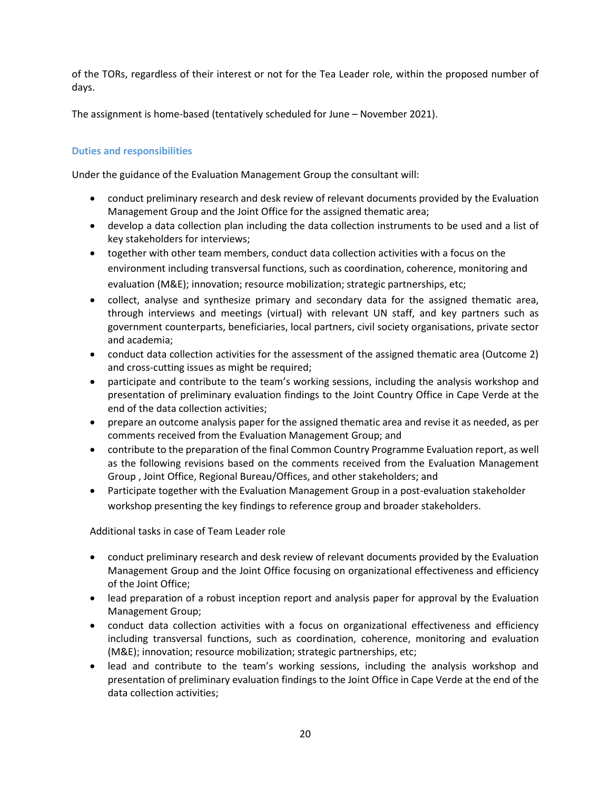of the TORs, regardless of their interest or not for the Tea Leader role, within the proposed number of days.

The assignment is home-based (tentatively scheduled for June – November 2021).

## **Duties and responsibilities**

Under the guidance of the Evaluation Management Group the consultant will:

- conduct preliminary research and desk review of relevant documents provided by the Evaluation Management Group and the Joint Office for the assigned thematic area;
- develop a data collection plan including the data collection instruments to be used and a list of key stakeholders for interviews;
- together with other team members, conduct data collection activities with a focus on the environment including transversal functions, such as coordination, coherence, monitoring and evaluation (M&E); innovation; resource mobilization; strategic partnerships, etc;
- collect, analyse and synthesize primary and secondary data for the assigned thematic area, through interviews and meetings (virtual) with relevant UN staff, and key partners such as government counterparts, beneficiaries, local partners, civil society organisations, private sector and academia;
- conduct data collection activities for the assessment of the assigned thematic area (Outcome 2) and cross-cutting issues as might be required;
- participate and contribute to the team's working sessions, including the analysis workshop and presentation of preliminary evaluation findings to the Joint Country Office in Cape Verde at the end of the data collection activities;
- prepare an outcome analysis paper for the assigned thematic area and revise it as needed, as per comments received from the Evaluation Management Group; and
- contribute to the preparation of the final Common Country Programme Evaluation report, as well as the following revisions based on the comments received from the Evaluation Management Group , Joint Office, Regional Bureau/Offices, and other stakeholders; and
- Participate together with the Evaluation Management Group in a post-evaluation stakeholder workshop presenting the key findings to reference group and broader stakeholders.

Additional tasks in case of Team Leader role

- conduct preliminary research and desk review of relevant documents provided by the Evaluation Management Group and the Joint Office focusing on organizational effectiveness and efficiency of the Joint Office;
- lead preparation of a robust inception report and analysis paper for approval by the Evaluation Management Group;
- conduct data collection activities with a focus on organizational effectiveness and efficiency including transversal functions, such as coordination, coherence, monitoring and evaluation (M&E); innovation; resource mobilization; strategic partnerships, etc;
- lead and contribute to the team's working sessions, including the analysis workshop and presentation of preliminary evaluation findings to the Joint Office in Cape Verde at the end of the data collection activities;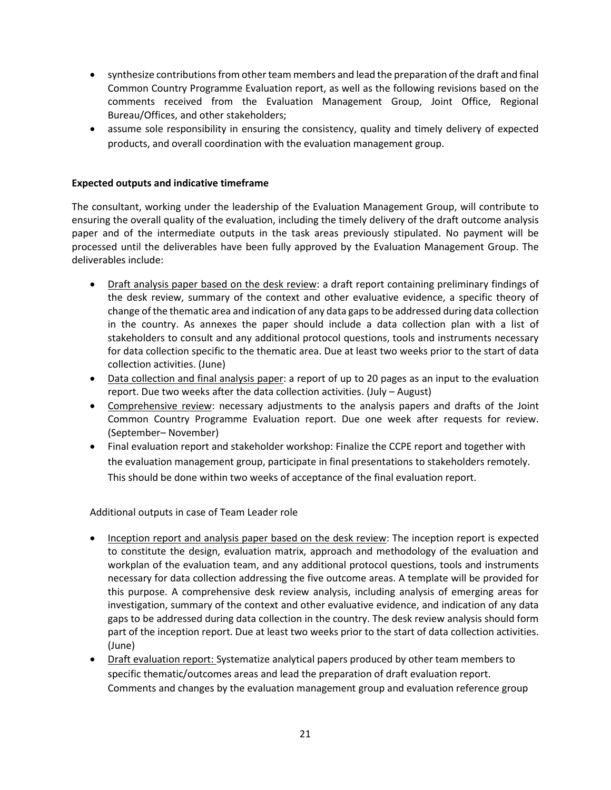- synthesize contributions from other team members and lead the preparation of the draft and final Common Country Programme Evaluation report, as well as the following revisions based on the comments received from the Evaluation Management Group, Joint Office, Regional Bureau/Offices, and other stakeholders;
- assume sole responsibility in ensuring the consistency, quality and timely delivery of expected products, and overall coordination with the evaluation management group.

## **Expected outputs and indicative timeframe**

The consultant, working under the leadership of the Evaluation Management Group, will contribute to ensuring the overall quality of the evaluation, including the timely delivery of the draft outcome analysis paper and of the intermediate outputs in the task areas previously stipulated. No payment will be processed until the deliverables have been fully approved by the Evaluation Management Group. The deliverables include:

- Draft analysis paper based on the desk review: a draft report containing preliminary findings of the desk review, summary of the context and other evaluative evidence, a specific theory of change of the thematic area and indication of any data gaps to be addressed during data collection in the country. As annexes the paper should include a data collection plan with a list of stakeholders to consult and any additional protocol questions, tools and instruments necessary for data collection specific to the thematic area. Due at least two weeks prior to the start of data collection activities. (June)
- Data collection and final analysis paper: a report of up to 20 pages as an input to the evaluation report. Due two weeks after the data collection activities. (July – August)
- Comprehensive review: necessary adjustments to the analysis papers and drafts of the Joint Common Country Programme Evaluation report. Due one week after requests for review. (September– November)
- Final evaluation report and stakeholder workshop: Finalize the CCPE report and together with the evaluation management group, participate in final presentations to stakeholders remotely. This should be done within two weeks of acceptance of the final evaluation report.

Additional outputs in case of Team Leader role

- Inception report and analysis paper based on the desk review: The inception report is expected to constitute the design, evaluation matrix, approach and methodology of the evaluation and workplan of the evaluation team, and any additional protocol questions, tools and instruments necessary for data collection addressing the five outcome areas. A template will be provided for this purpose. A comprehensive desk review analysis, including analysis of emerging areas for investigation, summary of the context and other evaluative evidence, and indication of any data gaps to be addressed during data collection in the country. The desk review analysis should form part of the inception report. Due at least two weeks prior to the start of data collection activities. (June)
- Draft evaluation report: Systematize analytical papers produced by other team members to specific thematic/outcomes areas and lead the preparation of draft evaluation report. Comments and changes by the evaluation management group and evaluation reference group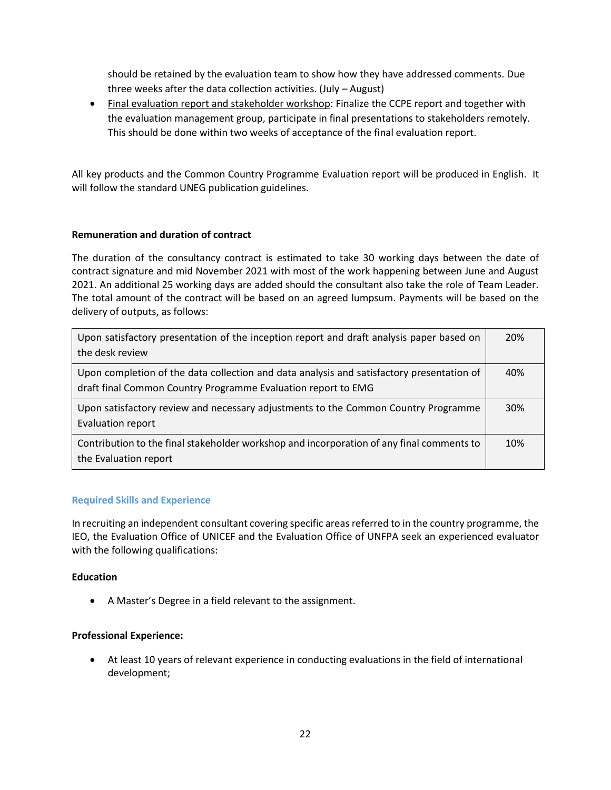should be retained by the evaluation team to show how they have addressed comments. Due three weeks after the data collection activities. (July – August)

• Final evaluation report and stakeholder workshop: Finalize the CCPE report and together with the evaluation management group, participate in final presentations to stakeholders remotely. This should be done within two weeks of acceptance of the final evaluation report.

All key products and the Common Country Programme Evaluation report will be produced in English. It will follow the standard UNEG publication guidelines.

## **Remuneration and duration of contract**

The duration of the consultancy contract is estimated to take 30 working days between the date of contract signature and mid November 2021 with most of the work happening between June and August 2021. An additional 25 working days are added should the consultant also take the role of Team Leader. The total amount of the contract will be based on an agreed lumpsum. Payments will be based on the delivery of outputs, as follows:

| Upon satisfactory presentation of the inception report and draft analysis paper based on<br>the desk review | 20% |
|-------------------------------------------------------------------------------------------------------------|-----|
|                                                                                                             |     |
| Upon completion of the data collection and data analysis and satisfactory presentation of                   | 40% |
| draft final Common Country Programme Evaluation report to EMG                                               |     |
| Upon satisfactory review and necessary adjustments to the Common Country Programme                          | 30% |
| Evaluation report                                                                                           |     |
| Contribution to the final stakeholder workshop and incorporation of any final comments to                   | 10% |
| the Evaluation report                                                                                       |     |

## **Required Skills and Experience**

In recruiting an independent consultant covering specific areas referred to in the country programme, the IEO, the Evaluation Office of UNICEF and the Evaluation Office of UNFPA seek an experienced evaluator with the following qualifications:

## **Education**

• A Master's Degree in a field relevant to the assignment.

## **Professional Experience:**

• At least 10 years of relevant experience in conducting evaluations in the field of international development;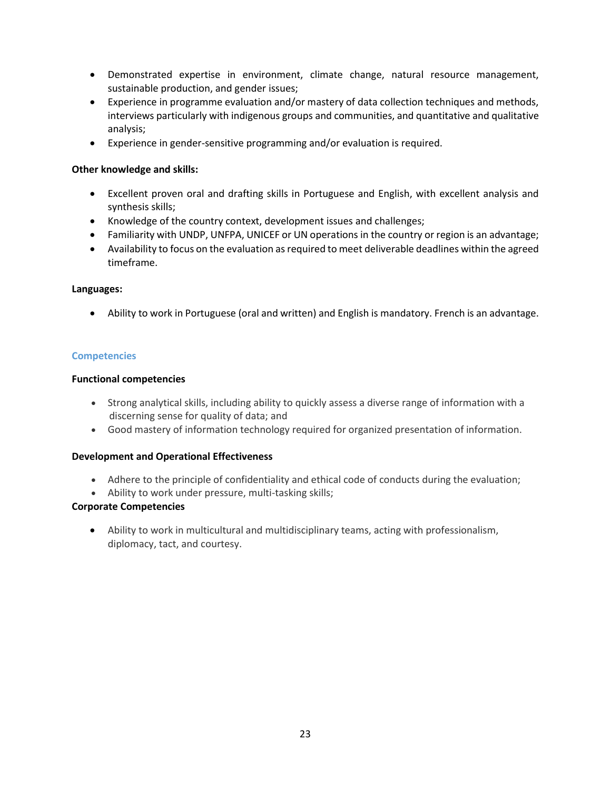- Demonstrated expertise in environment, climate change, natural resource management, sustainable production, and gender issues;
- Experience in programme evaluation and/or mastery of data collection techniques and methods, interviews particularly with indigenous groups and communities, and quantitative and qualitative analysis;
- Experience in gender-sensitive programming and/or evaluation is required.

## **Other knowledge and skills:**

- Excellent proven oral and drafting skills in Portuguese and English, with excellent analysis and synthesis skills;
- Knowledge of the country context, development issues and challenges;
- Familiarity with UNDP, UNFPA, UNICEF or UN operations in the country or region is an advantage;
- Availability to focus on the evaluation as required to meet deliverable deadlines within the agreed timeframe.

## **Languages:**

• Ability to work in Portuguese (oral and written) and English is mandatory. French is an advantage.

## **Competencies**

## **Functional competencies**

- Strong analytical skills, including ability to quickly assess a diverse range of information with a discerning sense for quality of data; and
- Good mastery of information technology required for organized presentation of information.

## **Development and Operational Effectiveness**

- Adhere to the principle of confidentiality and ethical code of conducts during the evaluation;
- Ability to work under pressure, multi-tasking skills;

## **Corporate Competencies**

• Ability to work in multicultural and multidisciplinary teams, acting with professionalism, diplomacy, tact, and courtesy.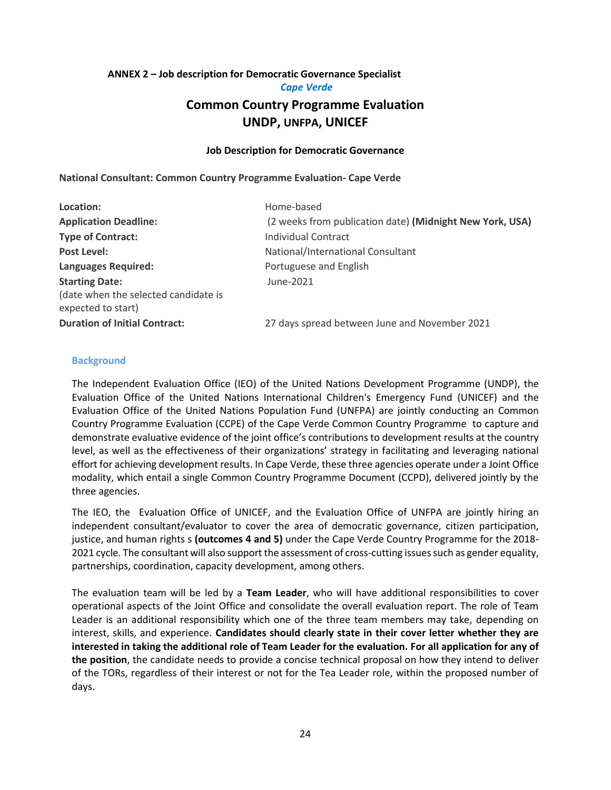#### **ANNEX 2 – Job description for Democratic Governance Specialist**

# *Cape Verde* **Common Country Programme Evaluation UNDP, UNFPA, UNICEF**

#### **Job Description for Democratic Governance**

**National Consultant: Common Country Programme Evaluation- Cape Verde**

| Location:                                                  | Home-based                                               |
|------------------------------------------------------------|----------------------------------------------------------|
| <b>Application Deadline:</b>                               | (2 weeks from publication date) (Midnight New York, USA) |
| <b>Type of Contract:</b>                                   | Individual Contract                                      |
| <b>Post Level:</b>                                         | National/International Consultant                        |
| <b>Languages Required:</b>                                 | Portuguese and English                                   |
| <b>Starting Date:</b>                                      | June-2021                                                |
| (date when the selected candidate is<br>expected to start) |                                                          |
| <b>Duration of Initial Contract:</b>                       | 27 days spread between June and November 2021            |

#### **Background**

The Independent Evaluation Office (IEO) of the United Nations Development Programme (UNDP), the Evaluation Office of the United Nations International Children's Emergency Fund (UNICEF) and the Evaluation Office of the United Nations Population Fund (UNFPA) are jointly conducting an Common Country Programme Evaluation (CCPE) of the Cape Verde Common Country Programme to capture and demonstrate evaluative evidence of the joint office's contributions to development results at the country level, as well as the effectiveness of their organizations' strategy in facilitating and leveraging national effort for achieving development results. In Cape Verde, these three agencies operate under a Joint Office modality, which entail a single Common Country Programme Document (CCPD), delivered jointly by the three agencies.

The IEO, the Evaluation Office of UNICEF, and the Evaluation Office of UNFPA are jointly hiring an independent consultant/evaluator to cover the area of democratic governance, citizen participation, justice, and human rights s **(outcomes 4 and 5)** under the Cape Verde Country Programme for the 2018- 2021 cycle. The consultant will also support the assessment of cross-cutting issues such as gender equality, partnerships, coordination, capacity development, among others.

The evaluation team will be led by a **Team Leader**, who will have additional responsibilities to cover operational aspects of the Joint Office and consolidate the overall evaluation report. The role of Team Leader is an additional responsibility which one of the three team members may take, depending on interest, skills, and experience. **Candidates should clearly state in their cover letter whether they are interested in taking the additional role of Team Leader for the evaluation. For all application for any of the position**, the candidate needs to provide a concise technical proposal on how they intend to deliver of the TORs, regardless of their interest or not for the Tea Leader role, within the proposed number of days.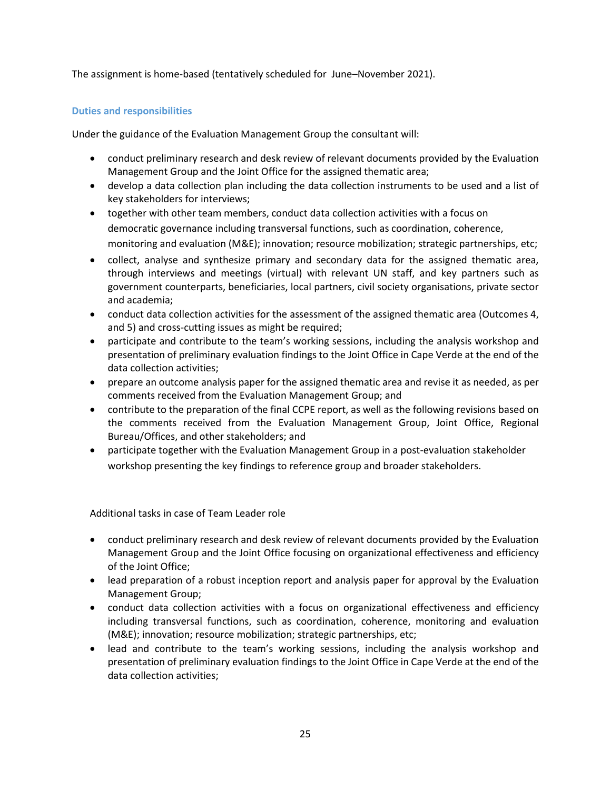The assignment is home-based (tentatively scheduled for June–November 2021).

## **Duties and responsibilities**

Under the guidance of the Evaluation Management Group the consultant will:

- conduct preliminary research and desk review of relevant documents provided by the Evaluation Management Group and the Joint Office for the assigned thematic area;
- develop a data collection plan including the data collection instruments to be used and a list of key stakeholders for interviews;
- together with other team members, conduct data collection activities with a focus on democratic governance including transversal functions, such as coordination, coherence, monitoring and evaluation (M&E); innovation; resource mobilization; strategic partnerships, etc;
- collect, analyse and synthesize primary and secondary data for the assigned thematic area, through interviews and meetings (virtual) with relevant UN staff, and key partners such as government counterparts, beneficiaries, local partners, civil society organisations, private sector and academia;
- conduct data collection activities for the assessment of the assigned thematic area (Outcomes 4, and 5) and cross-cutting issues as might be required;
- participate and contribute to the team's working sessions, including the analysis workshop and presentation of preliminary evaluation findings to the Joint Office in Cape Verde at the end of the data collection activities;
- prepare an outcome analysis paper for the assigned thematic area and revise it as needed, as per comments received from the Evaluation Management Group; and
- contribute to the preparation of the final CCPE report, as well as the following revisions based on the comments received from the Evaluation Management Group, Joint Office, Regional Bureau/Offices, and other stakeholders; and
- participate together with the Evaluation Management Group in a post-evaluation stakeholder workshop presenting the key findings to reference group and broader stakeholders.

Additional tasks in case of Team Leader role

- conduct preliminary research and desk review of relevant documents provided by the Evaluation Management Group and the Joint Office focusing on organizational effectiveness and efficiency of the Joint Office;
- lead preparation of a robust inception report and analysis paper for approval by the Evaluation Management Group;
- conduct data collection activities with a focus on organizational effectiveness and efficiency including transversal functions, such as coordination, coherence, monitoring and evaluation (M&E); innovation; resource mobilization; strategic partnerships, etc;
- lead and contribute to the team's working sessions, including the analysis workshop and presentation of preliminary evaluation findings to the Joint Office in Cape Verde at the end of the data collection activities;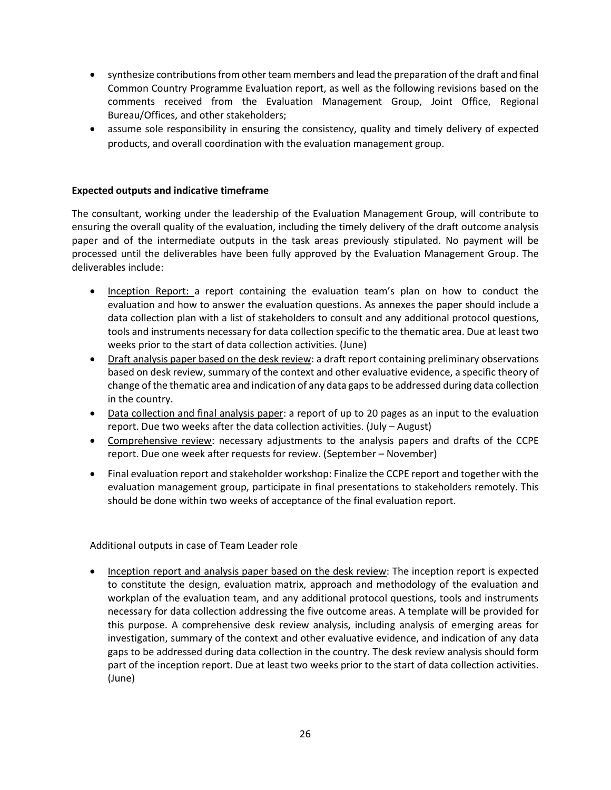- synthesize contributions from other team members and lead the preparation of the draft and final Common Country Programme Evaluation report, as well as the following revisions based on the comments received from the Evaluation Management Group, Joint Office, Regional Bureau/Offices, and other stakeholders;
- assume sole responsibility in ensuring the consistency, quality and timely delivery of expected products, and overall coordination with the evaluation management group.

## **Expected outputs and indicative timeframe**

The consultant, working under the leadership of the Evaluation Management Group, will contribute to ensuring the overall quality of the evaluation, including the timely delivery of the draft outcome analysis paper and of the intermediate outputs in the task areas previously stipulated. No payment will be processed until the deliverables have been fully approved by the Evaluation Management Group. The deliverables include:

- Inception Report: a report containing the evaluation team's plan on how to conduct the evaluation and how to answer the evaluation questions. As annexes the paper should include a data collection plan with a list of stakeholders to consult and any additional protocol questions, tools and instruments necessary for data collection specific to the thematic area. Due at least two weeks prior to the start of data collection activities. (June)
- Draft analysis paper based on the desk review: a draft report containing preliminary observations based on desk review, summary of the context and other evaluative evidence, a specific theory of change of the thematic area and indication of any data gaps to be addressed during data collection in the country.
- Data collection and final analysis paper: a report of up to 20 pages as an input to the evaluation report. Due two weeks after the data collection activities. (July – August)
- Comprehensive review: necessary adjustments to the analysis papers and drafts of the CCPE report. Due one week after requests for review. (September – November)
- Final evaluation report and stakeholder workshop: Finalize the CCPE report and together with the evaluation management group, participate in final presentations to stakeholders remotely. This should be done within two weeks of acceptance of the final evaluation report.

Additional outputs in case of Team Leader role

• Inception report and analysis paper based on the desk review: The inception report is expected to constitute the design, evaluation matrix, approach and methodology of the evaluation and workplan of the evaluation team, and any additional protocol questions, tools and instruments necessary for data collection addressing the five outcome areas. A template will be provided for this purpose. A comprehensive desk review analysis, including analysis of emerging areas for investigation, summary of the context and other evaluative evidence, and indication of any data gaps to be addressed during data collection in the country. The desk review analysis should form part of the inception report. Due at least two weeks prior to the start of data collection activities. (June)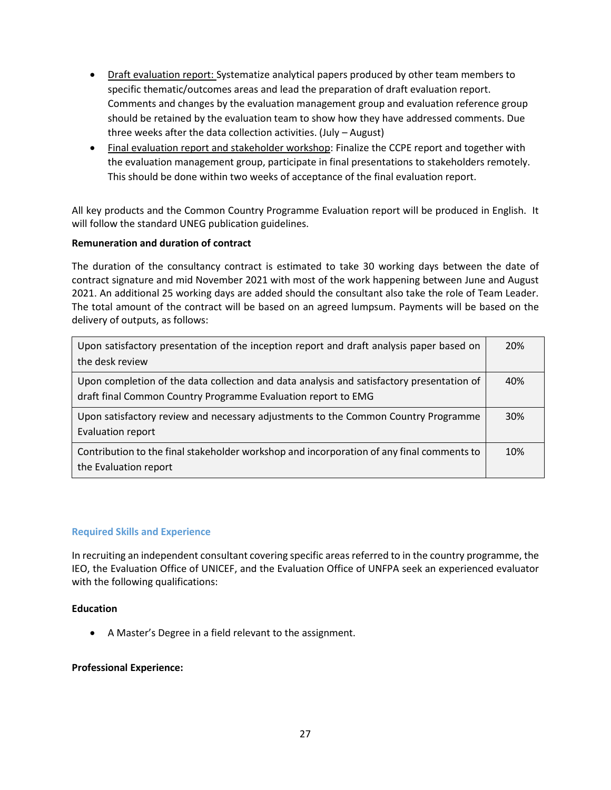- Draft evaluation report: Systematize analytical papers produced by other team members to specific thematic/outcomes areas and lead the preparation of draft evaluation report. Comments and changes by the evaluation management group and evaluation reference group should be retained by the evaluation team to show how they have addressed comments. Due three weeks after the data collection activities. (July – August)
- Final evaluation report and stakeholder workshop: Finalize the CCPE report and together with the evaluation management group, participate in final presentations to stakeholders remotely. This should be done within two weeks of acceptance of the final evaluation report.

All key products and the Common Country Programme Evaluation report will be produced in English. It will follow the standard UNEG publication guidelines.

## **Remuneration and duration of contract**

The duration of the consultancy contract is estimated to take 30 working days between the date of contract signature and mid November 2021 with most of the work happening between June and August 2021. An additional 25 working days are added should the consultant also take the role of Team Leader. The total amount of the contract will be based on an agreed lumpsum. Payments will be based on the delivery of outputs, as follows:

| Upon satisfactory presentation of the inception report and draft analysis paper based on<br>the desk review                                                | 20% |
|------------------------------------------------------------------------------------------------------------------------------------------------------------|-----|
| Upon completion of the data collection and data analysis and satisfactory presentation of<br>draft final Common Country Programme Evaluation report to EMG | 40% |
| Upon satisfactory review and necessary adjustments to the Common Country Programme<br>Evaluation report                                                    | 30% |
| Contribution to the final stakeholder workshop and incorporation of any final comments to<br>the Evaluation report                                         | 10% |

## **Required Skills and Experience**

In recruiting an independent consultant covering specific areas referred to in the country programme, the IEO, the Evaluation Office of UNICEF, and the Evaluation Office of UNFPA seek an experienced evaluator with the following qualifications:

## **Education**

• A Master's Degree in a field relevant to the assignment.

## **Professional Experience:**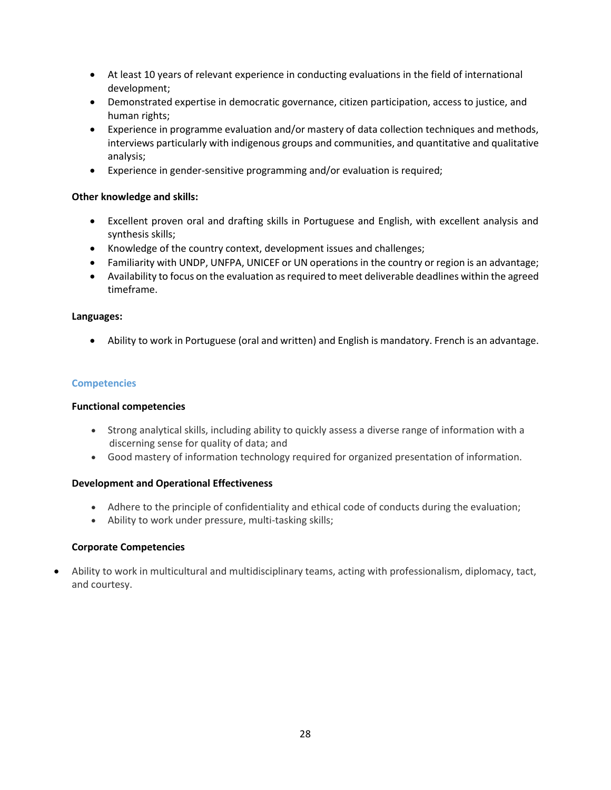- At least 10 years of relevant experience in conducting evaluations in the field of international development;
- Demonstrated expertise in democratic governance, citizen participation, access to justice, and human rights;
- Experience in programme evaluation and/or mastery of data collection techniques and methods, interviews particularly with indigenous groups and communities, and quantitative and qualitative analysis;
- Experience in gender-sensitive programming and/or evaluation is required;

## **Other knowledge and skills:**

- Excellent proven oral and drafting skills in Portuguese and English, with excellent analysis and synthesis skills;
- Knowledge of the country context, development issues and challenges;
- Familiarity with UNDP, UNFPA, UNICEF or UN operations in the country or region is an advantage;
- Availability to focus on the evaluation as required to meet deliverable deadlines within the agreed timeframe.

## **Languages:**

• Ability to work in Portuguese (oral and written) and English is mandatory. French is an advantage.

## **Competencies**

## **Functional competencies**

- Strong analytical skills, including ability to quickly assess a diverse range of information with a discerning sense for quality of data; and
- Good mastery of information technology required for organized presentation of information.

## **Development and Operational Effectiveness**

- Adhere to the principle of confidentiality and ethical code of conducts during the evaluation;
- Ability to work under pressure, multi-tasking skills;

## **Corporate Competencies**

• Ability to work in multicultural and multidisciplinary teams, acting with professionalism, diplomacy, tact, and courtesy.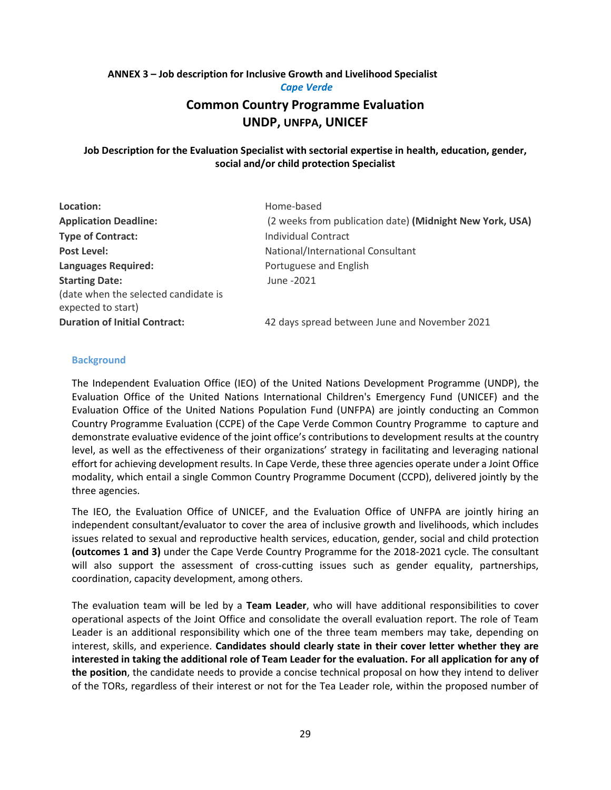# **ANNEX 3 – Job description for Inclusive Growth and Livelihood Specialist** *Cape Verde*

# **Common Country Programme Evaluation UNDP, UNFPA, UNICEF**

## **Job Description for the Evaluation Specialist with sectorial expertise in health, education, gender, social and/or child protection Specialist**

| Location:                            | Home-based                                               |
|--------------------------------------|----------------------------------------------------------|
| <b>Application Deadline:</b>         | (2 weeks from publication date) (Midnight New York, USA) |
| <b>Type of Contract:</b>             | Individual Contract                                      |
| Post Level:                          | National/International Consultant                        |
| <b>Languages Required:</b>           | Portuguese and English                                   |
| <b>Starting Date:</b>                | June -2021                                               |
| (date when the selected candidate is |                                                          |
| expected to start)                   |                                                          |
| <b>Duration of Initial Contract:</b> | 42 days spread between June and November 2021            |

#### **Background**

The Independent Evaluation Office (IEO) of the United Nations Development Programme (UNDP), the Evaluation Office of the United Nations International Children's Emergency Fund (UNICEF) and the Evaluation Office of the United Nations Population Fund (UNFPA) are jointly conducting an Common Country Programme Evaluation (CCPE) of the Cape Verde Common Country Programme to capture and demonstrate evaluative evidence of the joint office's contributions to development results at the country level, as well as the effectiveness of their organizations' strategy in facilitating and leveraging national effort for achieving development results. In Cape Verde, these three agencies operate under a Joint Office modality, which entail a single Common Country Programme Document (CCPD), delivered jointly by the three agencies.

The IEO, the Evaluation Office of UNICEF, and the Evaluation Office of UNFPA are jointly hiring an independent consultant/evaluator to cover the area of inclusive growth and livelihoods, which includes issues related to sexual and reproductive health services, education, gender, social and child protection **(outcomes 1 and 3)** under the Cape Verde Country Programme for the 2018-2021 cycle. The consultant will also support the assessment of cross-cutting issues such as gender equality, partnerships, coordination, capacity development, among others.

The evaluation team will be led by a **Team Leader**, who will have additional responsibilities to cover operational aspects of the Joint Office and consolidate the overall evaluation report. The role of Team Leader is an additional responsibility which one of the three team members may take, depending on interest, skills, and experience. **Candidates should clearly state in their cover letter whether they are interested in taking the additional role of Team Leader for the evaluation. For all application for any of the position**, the candidate needs to provide a concise technical proposal on how they intend to deliver of the TORs, regardless of their interest or not for the Tea Leader role, within the proposed number of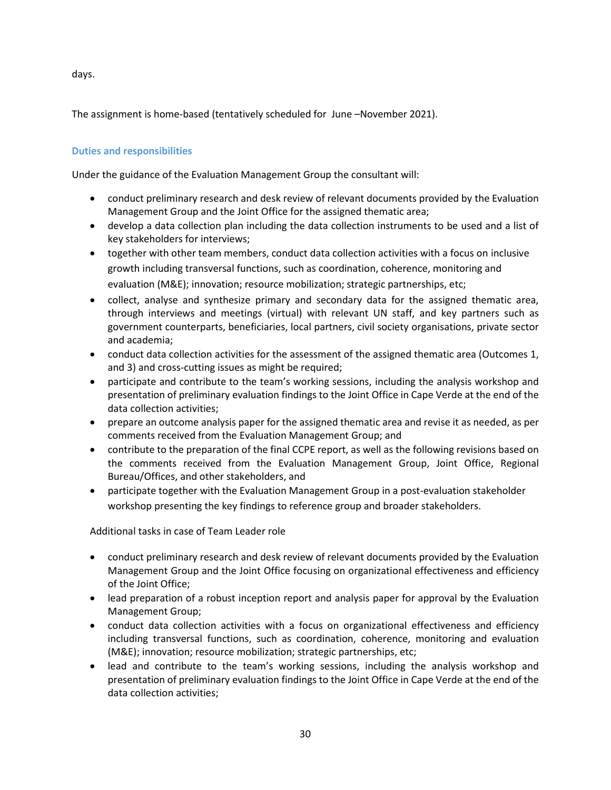days.

The assignment is home-based (tentatively scheduled for June –November 2021).

## **Duties and responsibilities**

Under the guidance of the Evaluation Management Group the consultant will:

- conduct preliminary research and desk review of relevant documents provided by the Evaluation Management Group and the Joint Office for the assigned thematic area;
- develop a data collection plan including the data collection instruments to be used and a list of key stakeholders for interviews;
- together with other team members, conduct data collection activities with a focus on inclusive growth including transversal functions, such as coordination, coherence, monitoring and evaluation (M&E); innovation; resource mobilization; strategic partnerships, etc;
- collect, analyse and synthesize primary and secondary data for the assigned thematic area, through interviews and meetings (virtual) with relevant UN staff, and key partners such as government counterparts, beneficiaries, local partners, civil society organisations, private sector and academia;
- conduct data collection activities for the assessment of the assigned thematic area (Outcomes 1, and 3) and cross-cutting issues as might be required;
- participate and contribute to the team's working sessions, including the analysis workshop and presentation of preliminary evaluation findings to the Joint Office in Cape Verde at the end of the data collection activities;
- prepare an outcome analysis paper for the assigned thematic area and revise it as needed, as per comments received from the Evaluation Management Group; and
- contribute to the preparation of the final CCPE report, as well as the following revisions based on the comments received from the Evaluation Management Group, Joint Office, Regional Bureau/Offices, and other stakeholders, and
- participate together with the Evaluation Management Group in a post-evaluation stakeholder workshop presenting the key findings to reference group and broader stakeholders.

Additional tasks in case of Team Leader role

- conduct preliminary research and desk review of relevant documents provided by the Evaluation Management Group and the Joint Office focusing on organizational effectiveness and efficiency of the Joint Office;
- lead preparation of a robust inception report and analysis paper for approval by the Evaluation Management Group;
- conduct data collection activities with a focus on organizational effectiveness and efficiency including transversal functions, such as coordination, coherence, monitoring and evaluation (M&E); innovation; resource mobilization; strategic partnerships, etc;
- lead and contribute to the team's working sessions, including the analysis workshop and presentation of preliminary evaluation findings to the Joint Office in Cape Verde at the end of the data collection activities;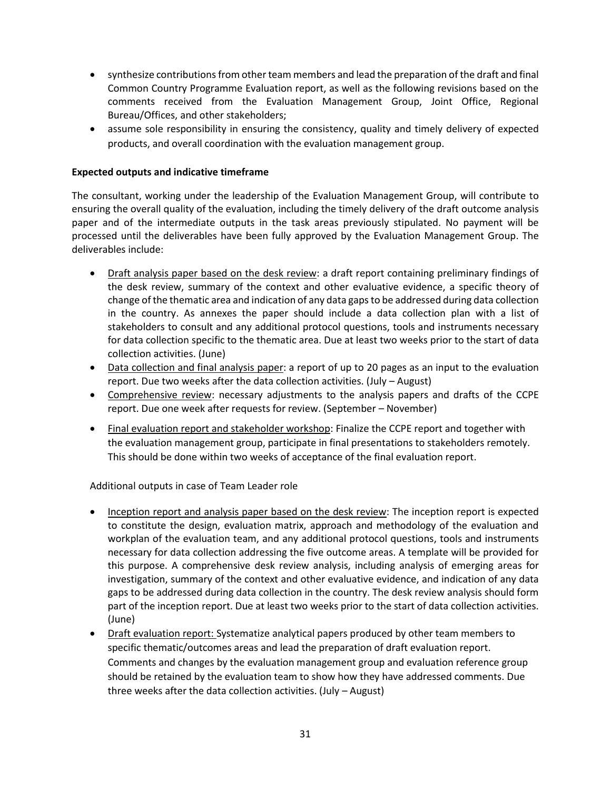- synthesize contributions from other team members and lead the preparation of the draft and final Common Country Programme Evaluation report, as well as the following revisions based on the comments received from the Evaluation Management Group, Joint Office, Regional Bureau/Offices, and other stakeholders;
- assume sole responsibility in ensuring the consistency, quality and timely delivery of expected products, and overall coordination with the evaluation management group.

## **Expected outputs and indicative timeframe**

The consultant, working under the leadership of the Evaluation Management Group, will contribute to ensuring the overall quality of the evaluation, including the timely delivery of the draft outcome analysis paper and of the intermediate outputs in the task areas previously stipulated. No payment will be processed until the deliverables have been fully approved by the Evaluation Management Group. The deliverables include:

- Draft analysis paper based on the desk review: a draft report containing preliminary findings of the desk review, summary of the context and other evaluative evidence, a specific theory of change of the thematic area and indication of any data gaps to be addressed during data collection in the country. As annexes the paper should include a data collection plan with a list of stakeholders to consult and any additional protocol questions, tools and instruments necessary for data collection specific to the thematic area. Due at least two weeks prior to the start of data collection activities. (June)
- Data collection and final analysis paper: a report of up to 20 pages as an input to the evaluation report. Due two weeks after the data collection activities. (July – August)
- Comprehensive review: necessary adjustments to the analysis papers and drafts of the CCPE report. Due one week after requests for review. (September – November)
- Final evaluation report and stakeholder workshop: Finalize the CCPE report and together with the evaluation management group, participate in final presentations to stakeholders remotely. This should be done within two weeks of acceptance of the final evaluation report.

Additional outputs in case of Team Leader role

- Inception report and analysis paper based on the desk review: The inception report is expected to constitute the design, evaluation matrix, approach and methodology of the evaluation and workplan of the evaluation team, and any additional protocol questions, tools and instruments necessary for data collection addressing the five outcome areas. A template will be provided for this purpose. A comprehensive desk review analysis, including analysis of emerging areas for investigation, summary of the context and other evaluative evidence, and indication of any data gaps to be addressed during data collection in the country. The desk review analysis should form part of the inception report. Due at least two weeks prior to the start of data collection activities. (June)
- Draft evaluation report: Systematize analytical papers produced by other team members to specific thematic/outcomes areas and lead the preparation of draft evaluation report. Comments and changes by the evaluation management group and evaluation reference group should be retained by the evaluation team to show how they have addressed comments. Due three weeks after the data collection activities. (July – August)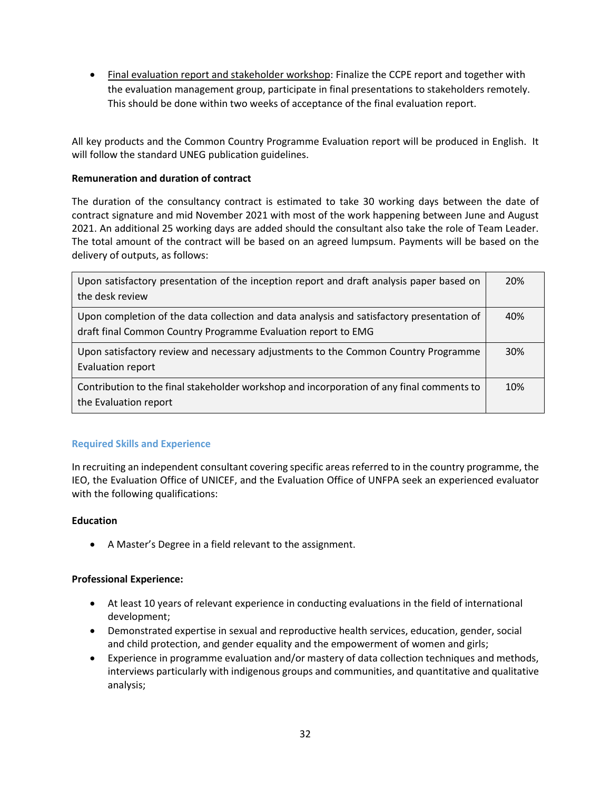• Final evaluation report and stakeholder workshop: Finalize the CCPE report and together with the evaluation management group, participate in final presentations to stakeholders remotely. This should be done within two weeks of acceptance of the final evaluation report.

All key products and the Common Country Programme Evaluation report will be produced in English. It will follow the standard UNEG publication guidelines.

## **Remuneration and duration of contract**

The duration of the consultancy contract is estimated to take 30 working days between the date of contract signature and mid November 2021 with most of the work happening between June and August 2021. An additional 25 working days are added should the consultant also take the role of Team Leader. The total amount of the contract will be based on an agreed lumpsum. Payments will be based on the delivery of outputs, as follows:

| Upon satisfactory presentation of the inception report and draft analysis paper based on<br>the desk review                                                | 20%        |
|------------------------------------------------------------------------------------------------------------------------------------------------------------|------------|
| Upon completion of the data collection and data analysis and satisfactory presentation of<br>draft final Common Country Programme Evaluation report to EMG | 40%        |
| Upon satisfactory review and necessary adjustments to the Common Country Programme<br>Evaluation report                                                    | <b>30%</b> |
| Contribution to the final stakeholder workshop and incorporation of any final comments to<br>the Evaluation report                                         | 10%        |

## **Required Skills and Experience**

In recruiting an independent consultant covering specific areas referred to in the country programme, the IEO, the Evaluation Office of UNICEF, and the Evaluation Office of UNFPA seek an experienced evaluator with the following qualifications:

#### **Education**

• A Master's Degree in a field relevant to the assignment.

## **Professional Experience:**

- At least 10 years of relevant experience in conducting evaluations in the field of international development;
- Demonstrated expertise in sexual and reproductive health services, education, gender, social and child protection, and gender equality and the empowerment of women and girls;
- Experience in programme evaluation and/or mastery of data collection techniques and methods, interviews particularly with indigenous groups and communities, and quantitative and qualitative analysis;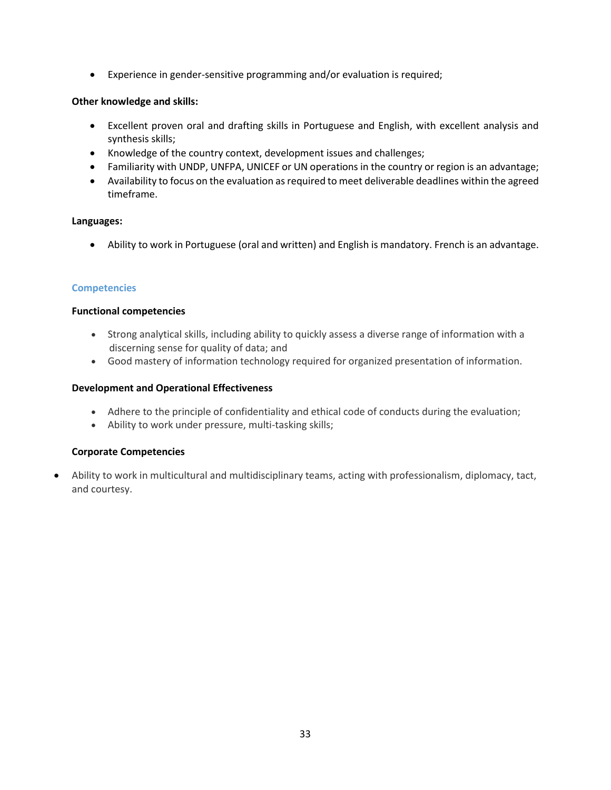• Experience in gender-sensitive programming and/or evaluation is required;

## **Other knowledge and skills:**

- Excellent proven oral and drafting skills in Portuguese and English, with excellent analysis and synthesis skills;
- Knowledge of the country context, development issues and challenges;
- Familiarity with UNDP, UNFPA, UNICEF or UN operations in the country or region is an advantage;
- Availability to focus on the evaluation as required to meet deliverable deadlines within the agreed timeframe.

## **Languages:**

• Ability to work in Portuguese (oral and written) and English is mandatory. French is an advantage.

## **Competencies**

## **Functional competencies**

- Strong analytical skills, including ability to quickly assess a diverse range of information with a discerning sense for quality of data; and
- Good mastery of information technology required for organized presentation of information.

## **Development and Operational Effectiveness**

- Adhere to the principle of confidentiality and ethical code of conducts during the evaluation;
- Ability to work under pressure, multi-tasking skills;

## **Corporate Competencies**

• Ability to work in multicultural and multidisciplinary teams, acting with professionalism, diplomacy, tact, and courtesy.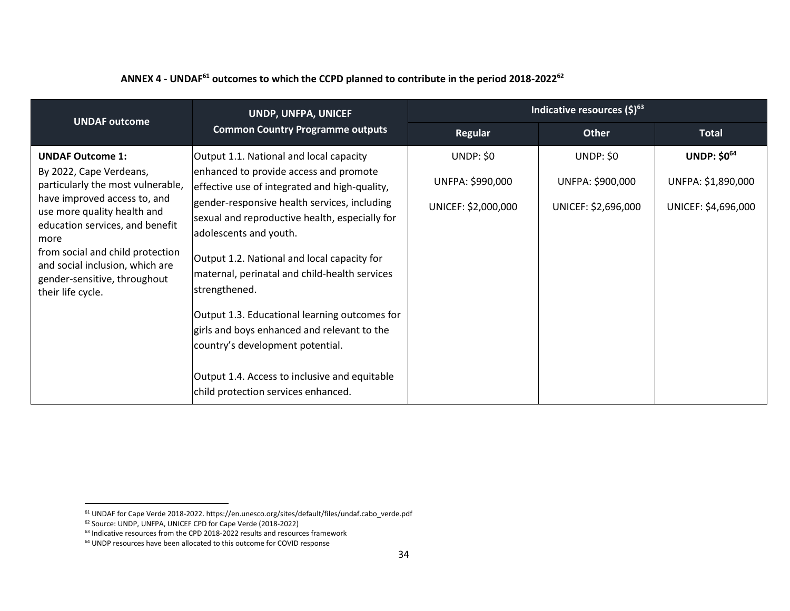| ANNEX 4 - UNDAF <sup>61</sup> outcomes to which the CCPD planned to contribute in the period 2018-2022 <sup>62</sup> |  |
|----------------------------------------------------------------------------------------------------------------------|--|
|----------------------------------------------------------------------------------------------------------------------|--|

| <b>UNDAF outcome</b>                                                                                                                                                                                                                                                                                                          | UNDP, UNFPA, UNICEF<br><b>Common Country Programme outputs</b>                                                                                                                                                                                                                                                                                                                                                                                                                                                                                                                                              | Indicative resources $(\xi)^{63}$                           |                                                             |                                                                 |
|-------------------------------------------------------------------------------------------------------------------------------------------------------------------------------------------------------------------------------------------------------------------------------------------------------------------------------|-------------------------------------------------------------------------------------------------------------------------------------------------------------------------------------------------------------------------------------------------------------------------------------------------------------------------------------------------------------------------------------------------------------------------------------------------------------------------------------------------------------------------------------------------------------------------------------------------------------|-------------------------------------------------------------|-------------------------------------------------------------|-----------------------------------------------------------------|
|                                                                                                                                                                                                                                                                                                                               |                                                                                                                                                                                                                                                                                                                                                                                                                                                                                                                                                                                                             | <b>Regular</b>                                              | Other                                                       | <b>Total</b>                                                    |
| <b>UNDAF Outcome 1:</b><br>By 2022, Cape Verdeans,<br>particularly the most vulnerable,<br>have improved access to, and<br>use more quality health and<br>education services, and benefit<br>more<br>from social and child protection<br>and social inclusion, which are<br>gender-sensitive, throughout<br>their life cycle. | Output 1.1. National and local capacity<br>enhanced to provide access and promote<br>effective use of integrated and high-quality,<br>gender-responsive health services, including<br>sexual and reproductive health, especially for<br>adolescents and youth.<br>Output 1.2. National and local capacity for<br>maternal, perinatal and child-health services<br>strengthened.<br>Output 1.3. Educational learning outcomes for<br>girls and boys enhanced and relevant to the<br>country's development potential.<br>Output 1.4. Access to inclusive and equitable<br>child protection services enhanced. | <b>UNDP: \$0</b><br>UNFPA: \$990,000<br>UNICEF: \$2,000,000 | <b>UNDP: \$0</b><br>UNFPA: \$900,000<br>UNICEF: \$2,696,000 | <b>UNDP: \$064</b><br>UNFPA: \$1,890,000<br>UNICEF: \$4,696,000 |

<sup>61</sup> UNDAF for Cape Verde 2018-2022. https://en.unesco.org/sites/default/files/undaf.cabo\_verde.pdf

<sup>62</sup> Source: UNDP, UNFPA, UNICEF CPD for Cape Verde (2018-2022)

<sup>&</sup>lt;sup>63</sup> Indicative resources from the CPD 2018-2022 results and resources framework

<sup>64</sup> UNDP resources have been allocated to this outcome for COVID response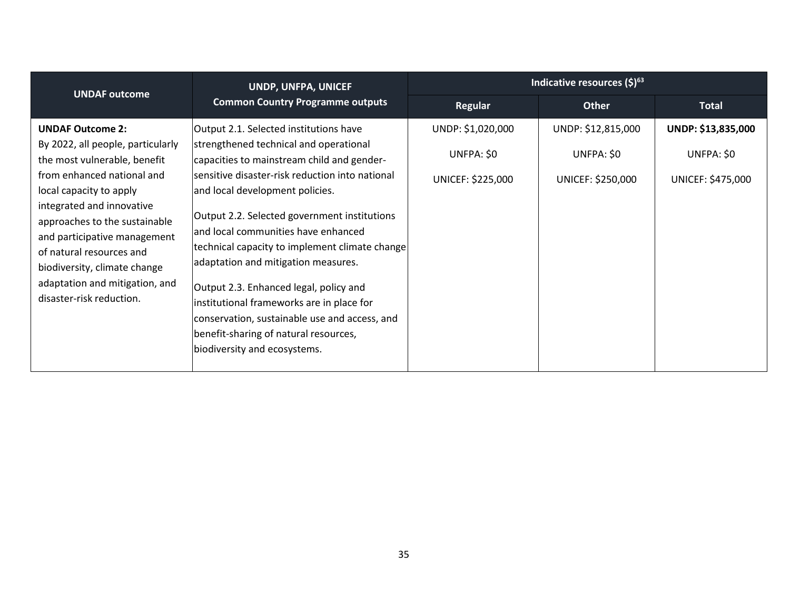| <b>UNDAF outcome</b>                                                                                                                                                                                                                                                                                                                                                          | UNDP, UNFPA, UNICEF<br><b>Common Country Programme outputs</b>                                                                                                                                                                                                                                                                                                                                                                                                                                                                                                                                                        | Indicative resources $(\xi)^{63}$                    |                                                       |                                                       |
|-------------------------------------------------------------------------------------------------------------------------------------------------------------------------------------------------------------------------------------------------------------------------------------------------------------------------------------------------------------------------------|-----------------------------------------------------------------------------------------------------------------------------------------------------------------------------------------------------------------------------------------------------------------------------------------------------------------------------------------------------------------------------------------------------------------------------------------------------------------------------------------------------------------------------------------------------------------------------------------------------------------------|------------------------------------------------------|-------------------------------------------------------|-------------------------------------------------------|
|                                                                                                                                                                                                                                                                                                                                                                               |                                                                                                                                                                                                                                                                                                                                                                                                                                                                                                                                                                                                                       | Regular                                              | <b>Other</b>                                          | <b>Total</b>                                          |
| <b>UNDAF Outcome 2:</b><br>By 2022, all people, particularly<br>the most vulnerable, benefit<br>from enhanced national and<br>local capacity to apply<br>integrated and innovative<br>approaches to the sustainable<br>and participative management<br>of natural resources and<br>biodiversity, climate change<br>adaptation and mitigation, and<br>disaster-risk reduction. | Output 2.1. Selected institutions have<br>strengthened technical and operational<br>capacities to mainstream child and gender-<br>sensitive disaster-risk reduction into national<br>and local development policies.<br>Output 2.2. Selected government institutions<br>and local communities have enhanced<br>technical capacity to implement climate change<br>adaptation and mitigation measures.<br>Output 2.3. Enhanced legal, policy and<br>institutional frameworks are in place for<br>conservation, sustainable use and access, and<br>benefit-sharing of natural resources,<br>biodiversity and ecosystems. | UNDP: \$1,020,000<br>UNFPA: \$0<br>UNICEF: \$225,000 | UNDP: \$12,815,000<br>UNFPA: \$0<br>UNICEF: \$250,000 | UNDP: \$13,835,000<br>UNFPA: \$0<br>UNICEF: \$475,000 |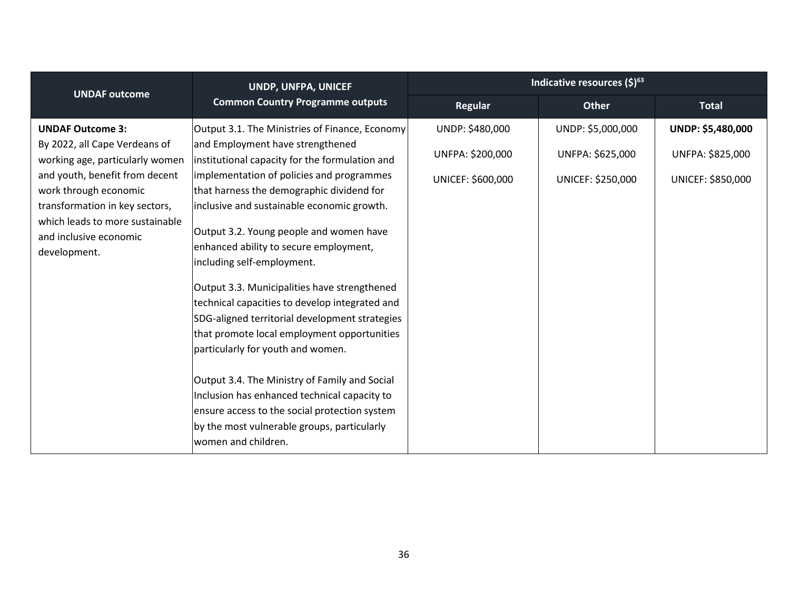| <b>UNDAF outcome</b>                                                                                                                                                                                                                                                  | UNDP, UNFPA, UNICEF<br><b>Common Country Programme outputs</b>                                                                                                                                                                                                                                                                                                                                                                                                                                                                                                                                                                                                                                                                                                                                                                                                  | Indicative resources $(5)^{63}$                          |                                                            |                                                            |
|-----------------------------------------------------------------------------------------------------------------------------------------------------------------------------------------------------------------------------------------------------------------------|-----------------------------------------------------------------------------------------------------------------------------------------------------------------------------------------------------------------------------------------------------------------------------------------------------------------------------------------------------------------------------------------------------------------------------------------------------------------------------------------------------------------------------------------------------------------------------------------------------------------------------------------------------------------------------------------------------------------------------------------------------------------------------------------------------------------------------------------------------------------|----------------------------------------------------------|------------------------------------------------------------|------------------------------------------------------------|
|                                                                                                                                                                                                                                                                       |                                                                                                                                                                                                                                                                                                                                                                                                                                                                                                                                                                                                                                                                                                                                                                                                                                                                 | <b>Regular</b>                                           | <b>Other</b>                                               | <b>Total</b>                                               |
| <b>UNDAF Outcome 3:</b><br>By 2022, all Cape Verdeans of<br>working age, particularly women<br>and youth, benefit from decent<br>work through economic<br>transformation in key sectors,<br>which leads to more sustainable<br>and inclusive economic<br>development. | Output 3.1. The Ministries of Finance, Economy<br>and Employment have strengthened<br>institutional capacity for the formulation and<br>implementation of policies and programmes<br>that harness the demographic dividend for<br>inclusive and sustainable economic growth.<br>Output 3.2. Young people and women have<br>enhanced ability to secure employment,<br>including self-employment.<br>Output 3.3. Municipalities have strengthened<br>technical capacities to develop integrated and<br>SDG-aligned territorial development strategies<br>that promote local employment opportunities<br>particularly for youth and women.<br>Output 3.4. The Ministry of Family and Social<br>Inclusion has enhanced technical capacity to<br>ensure access to the social protection system<br>by the most vulnerable groups, particularly<br>women and children. | UNDP: \$480,000<br>UNFPA: \$200,000<br>UNICEF: \$600,000 | UNDP: \$5,000,000<br>UNFPA: \$625,000<br>UNICEF: \$250,000 | UNDP: \$5,480,000<br>UNFPA: \$825,000<br>UNICEF: \$850,000 |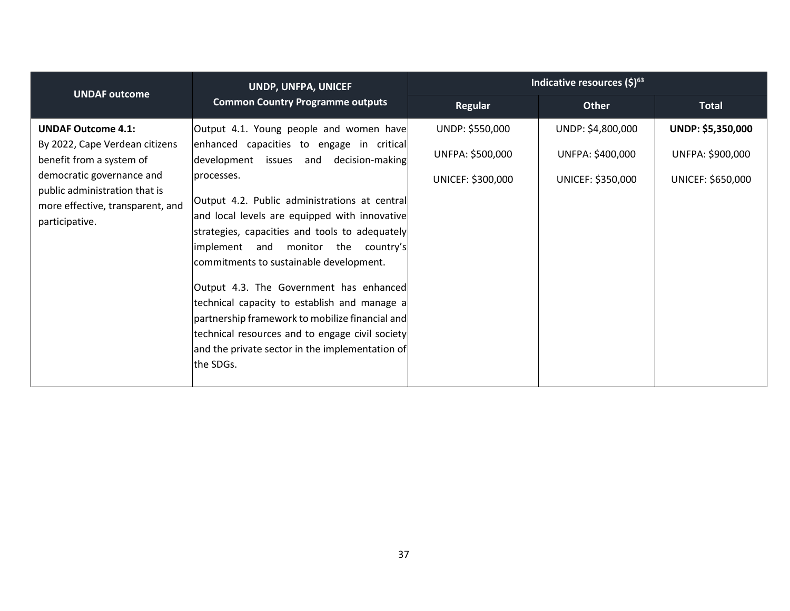| <b>UNDAF outcome</b>                                                                                                                                                                                        | UNDP, UNFPA, UNICEF<br><b>Common Country Programme outputs</b>                                                                                                                                                                                                                                                                                                                                                                                                                                                                                                                                                                                      | Indicative resources $(5)^{63}$                          |                                                            |                                                            |
|-------------------------------------------------------------------------------------------------------------------------------------------------------------------------------------------------------------|-----------------------------------------------------------------------------------------------------------------------------------------------------------------------------------------------------------------------------------------------------------------------------------------------------------------------------------------------------------------------------------------------------------------------------------------------------------------------------------------------------------------------------------------------------------------------------------------------------------------------------------------------------|----------------------------------------------------------|------------------------------------------------------------|------------------------------------------------------------|
|                                                                                                                                                                                                             |                                                                                                                                                                                                                                                                                                                                                                                                                                                                                                                                                                                                                                                     | <b>Regular</b>                                           | <b>Other</b>                                               | <b>Total</b>                                               |
| <b>UNDAF Outcome 4.1:</b><br>By 2022, Cape Verdean citizens<br>benefit from a system of<br>democratic governance and<br>public administration that is<br>more effective, transparent, and<br>participative. | Output 4.1. Young people and women have<br>enhanced capacities to engage in critical<br>development issues and decision-making<br>processes.<br>Output 4.2. Public administrations at central<br>and local levels are equipped with innovative<br>strategies, capacities and tools to adequately<br>implement and monitor the country's<br>commitments to sustainable development.<br>Output 4.3. The Government has enhanced<br>technical capacity to establish and manage a<br>partnership framework to mobilize financial and<br>technical resources and to engage civil society<br>and the private sector in the implementation of<br>the SDGs. | UNDP: \$550,000<br>UNFPA: \$500,000<br>UNICEF: \$300,000 | UNDP: \$4,800,000<br>UNFPA: \$400,000<br>UNICEF: \$350,000 | UNDP: \$5,350,000<br>UNFPA: \$900,000<br>UNICEF: \$650,000 |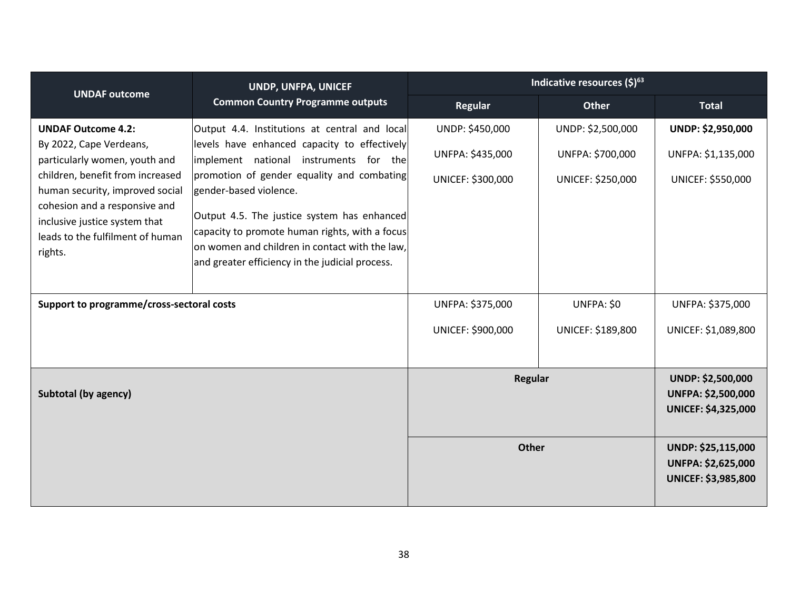| <b>UNDAF outcome</b>                                                                                                                                                                                                                                                          | UNDP, UNFPA, UNICEF<br><b>Common Country Programme outputs</b>                                                                                                                                                                                                                                                   | Indicative resources $(\xi)^{63}$                        |                                                            |                                                                                     |
|-------------------------------------------------------------------------------------------------------------------------------------------------------------------------------------------------------------------------------------------------------------------------------|------------------------------------------------------------------------------------------------------------------------------------------------------------------------------------------------------------------------------------------------------------------------------------------------------------------|----------------------------------------------------------|------------------------------------------------------------|-------------------------------------------------------------------------------------|
|                                                                                                                                                                                                                                                                               |                                                                                                                                                                                                                                                                                                                  | <b>Regular</b>                                           | <b>Other</b>                                               | <b>Total</b>                                                                        |
| <b>UNDAF Outcome 4.2:</b><br>By 2022, Cape Verdeans,<br>particularly women, youth and<br>children, benefit from increased<br>human security, improved social<br>cohesion and a responsive and<br>inclusive justice system that<br>leads to the fulfilment of human<br>rights. | Output 4.4. Institutions at central and local<br>levels have enhanced capacity to effectively<br>implement national instruments for the<br>promotion of gender equality and combating<br>gender-based violence.<br>Output 4.5. The justice system has enhanced<br>capacity to promote human rights, with a focus | UNDP: \$450,000<br>UNFPA: \$435,000<br>UNICEF: \$300,000 | UNDP: \$2,500,000<br>UNFPA: \$700,000<br>UNICEF: \$250,000 | UNDP: \$2,950,000<br>UNFPA: \$1,135,000<br>UNICEF: \$550,000                        |
|                                                                                                                                                                                                                                                                               | on women and children in contact with the law,<br>and greater efficiency in the judicial process.                                                                                                                                                                                                                |                                                          |                                                            |                                                                                     |
| Support to programme/cross-sectoral costs                                                                                                                                                                                                                                     |                                                                                                                                                                                                                                                                                                                  | UNFPA: \$375,000                                         | UNFPA: \$0                                                 | UNFPA: \$375,000                                                                    |
|                                                                                                                                                                                                                                                                               |                                                                                                                                                                                                                                                                                                                  | UNICEF: \$900,000                                        | UNICEF: \$189,800                                          | UNICEF: \$1,089,800                                                                 |
| Subtotal (by agency)                                                                                                                                                                                                                                                          |                                                                                                                                                                                                                                                                                                                  | <b>Regular</b>                                           |                                                            | <b>UNDP: \$2,500,000</b><br><b>UNFPA: \$2,500,000</b><br><b>UNICEF: \$4,325,000</b> |
|                                                                                                                                                                                                                                                                               |                                                                                                                                                                                                                                                                                                                  | <b>Other</b>                                             |                                                            | UNDP: \$25,115,000<br><b>UNFPA: \$2,625,000</b><br><b>UNICEF: \$3,985,800</b>       |